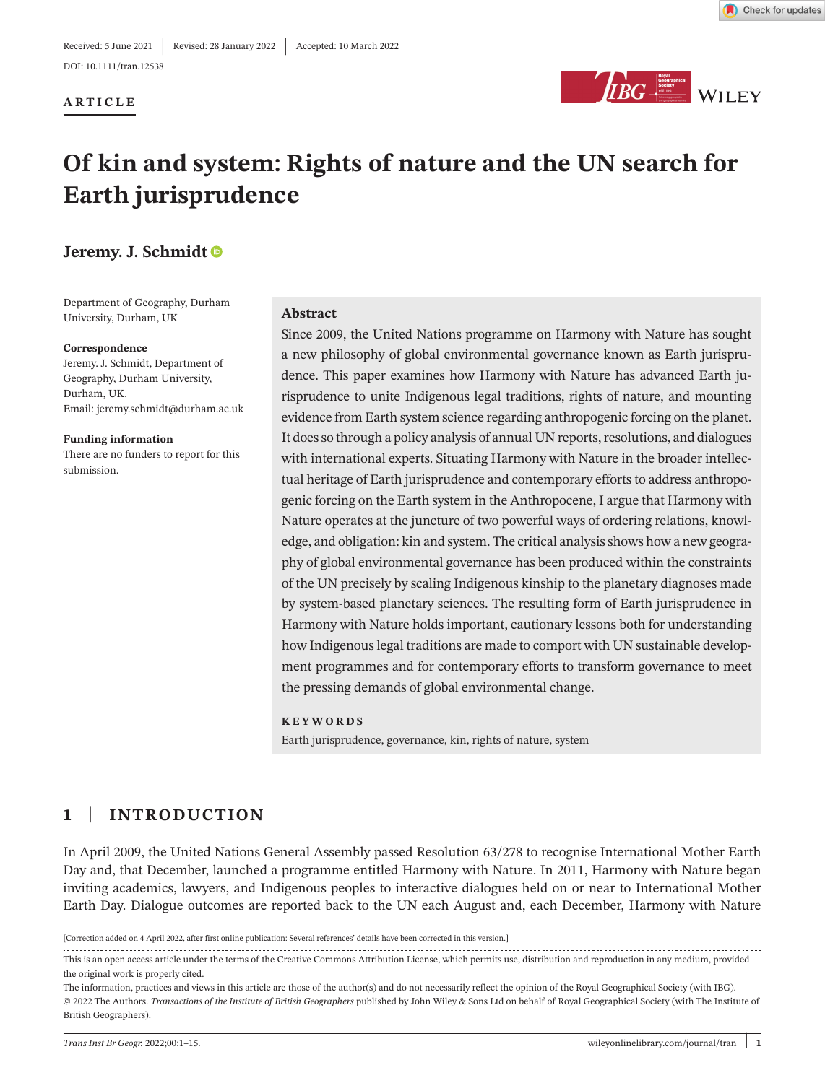DOI: 10.1111/tran.12538

#### **ARTICLE**



# **Of kin and system: Rights of nature and the UN search for Earth jurisprudence**

# **Jeremy. J. Schmid[t](https://orcid.org/0000-0002-9155-1777)**

Department of Geography, Durham University, Durham, UK

#### **Correspondence**

Jeremy. J. Schmidt, Department of Geography, Durham University, Durham, UK. Email: [jeremy.schmidt@durham.ac.uk](mailto:jeremy.schmidt@durham.ac.uk)

**Funding information** There are no funders to report for this submission.

#### **Abstract**

Since 2009, the United Nations programme on Harmony with Nature has sought a new philosophy of global environmental governance known as Earth jurisprudence. This paper examines how Harmony with Nature has advanced Earth jurisprudence to unite Indigenous legal traditions, rights of nature, and mounting evidence from Earth system science regarding anthropogenic forcing on the planet. It does so through a policy analysis of annual UN reports, resolutions, and dialogues with international experts. Situating Harmony with Nature in the broader intellectual heritage of Earth jurisprudence and contemporary efforts to address anthropogenic forcing on the Earth system in the Anthropocene, I argue that Harmony with Nature operates at the juncture of two powerful ways of ordering relations, knowledge, and obligation: kin and system. The critical analysisshows how a new geography of global environmental governance has been produced within the constraints of the UN precisely by scaling Indigenous kinship to the planetary diagnoses made by system-based planetary sciences. The resulting form of Earth jurisprudence in Harmony with Nature holds important, cautionary lessons both for understanding how Indigenous legal traditions are made to comport with UN sustainable development programmes and for contemporary efforts to transform governance to meet the pressing demands of global environmental change.

#### **KEYWORDS**

Earth jurisprudence, governance, kin, rights of nature, system

# **1** | **INTRODUCTION**

In April 2009, the United Nations General Assembly passed Resolution 63/278 to recognise International Mother Earth Day and, that December, launched a programme entitled Harmony with Nature. In 2011, Harmony with Nature began inviting academics, lawyers, and Indigenous peoples to interactive dialogues held on or near to International Mother Earth Day. Dialogue outcomes are reported back to the UN each August and, each December, Harmony with Nature

This is an open access article under the terms of the Creative Commons [Attribution](http://creativecommons.org/licenses/by/4.0/) License, which permits use, distribution and reproduction in any medium, provided the original work is properly cited.

<sup>[</sup>Correction added on 4 April 2022, after first online publication: Several references' details have been corrected in this version.]

The information, practices and views in this article are those of the author(s) and do not necessarily reflect the opinion of the Royal Geographical Society (with IBG). © 2022 The Authors. *Transactions of the Institute of British Geographers* published by John Wiley & Sons Ltd on behalf of Royal Geographical Society (with The Institute of British Geographers).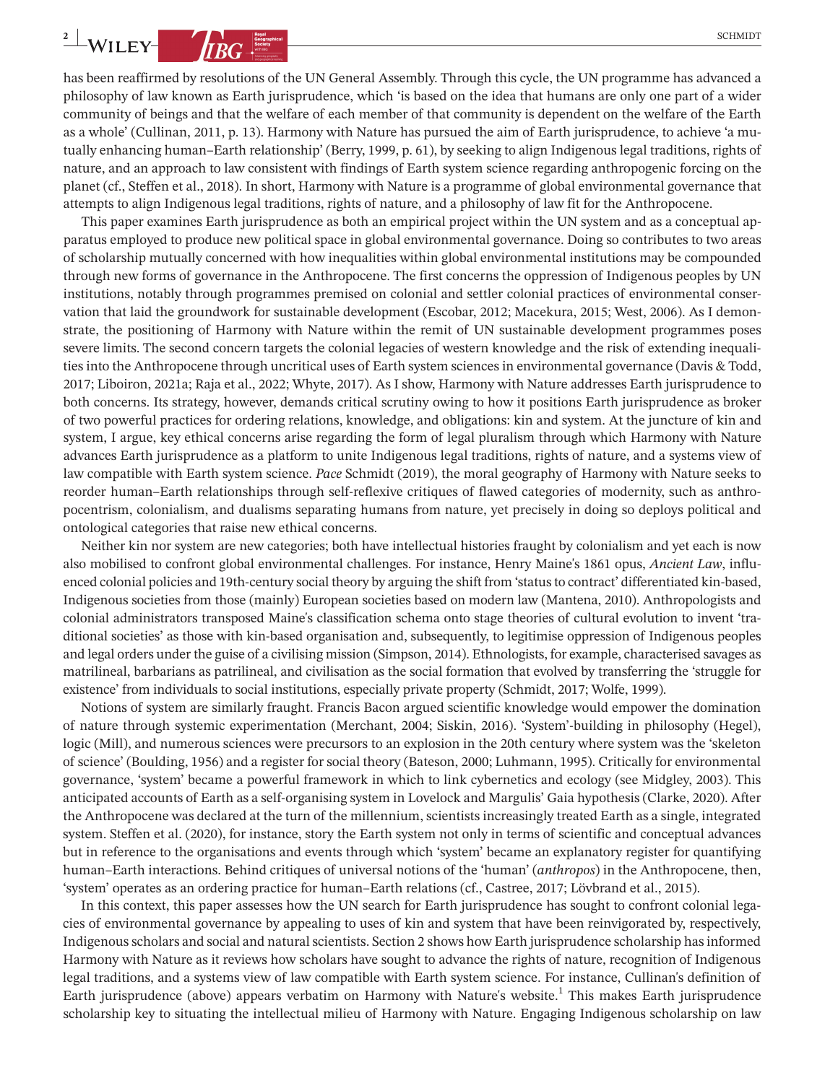**2 WILEY- CONSERVER CONSERVER CONSERVER CONSERVER CONSERVER CONSERVER CONSERVER CONSERVER CONSERVER CONSERVER CONSERVER CONSERVER CONSERVER CONSERVER CONSERVER CONSERVER CONSERVER CONSERVER CONSERVER CONSERVER CONSERVE** 

has been reaffirmed by resolutions of the UN General Assembly. Through this cycle, the UN programme has advanced a philosophy of law known as Earth jurisprudence, which 'is based on the idea that humans are only one part of a wider community of beings and that the welfare of each member of that community is dependent on the welfare of the Earth as a whole' (Cullinan, 2011, p. 13). Harmony with Nature has pursued the aim of Earth jurisprudence, to achieve 'a mutually enhancing human–Earth relationship' (Berry, 1999, p. 61), by seeking to align Indigenous legal traditions, rights of nature, and an approach to law consistent with findings of Earth system science regarding anthropogenic forcing on the planet (cf., Steffen et al., 2018). In short, Harmony with Nature is a programme of global environmental governance that attempts to align Indigenous legal traditions, rights of nature, and a philosophy of law fit for the Anthropocene.

This paper examines Earth jurisprudence as both an empirical project within the UN system and as a conceptual apparatus employed to produce new political space in global environmental governance. Doing so contributes to two areas of scholarship mutually concerned with how inequalities within global environmental institutions may be compounded through new forms of governance in the Anthropocene. The first concerns the oppression of Indigenous peoples by UN institutions, notably through programmes premised on colonial and settler colonial practices of environmental conservation that laid the groundwork for sustainable development (Escobar, 2012; Macekura, 2015; West, 2006). As I demonstrate, the positioning of Harmony with Nature within the remit of UN sustainable development programmes poses severe limits. The second concern targets the colonial legacies of western knowledge and the risk of extending inequalities into the Anthropocene through uncritical uses of Earth system sciences in environmental governance (Davis & Todd, 2017; Liboiron, 2021a; Raja et al., 2022; Whyte, 2017). As I show, Harmony with Nature addresses Earth jurisprudence to both concerns. Its strategy, however, demands critical scrutiny owing to how it positions Earth jurisprudence as broker of two powerful practices for ordering relations, knowledge, and obligations: kin and system. At the juncture of kin and system, I argue, key ethical concerns arise regarding the form of legal pluralism through which Harmony with Nature advances Earth jurisprudence as a platform to unite Indigenous legal traditions, rights of nature, and a systems view of law compatible with Earth system science. *Pace* Schmidt (2019), the moral geography of Harmony with Nature seeks to reorder human–Earth relationships through self-reflexive critiques of flawed categories of modernity, such as anthropocentrism, colonialism, and dualisms separating humans from nature, yet precisely in doing so deploys political and ontological categories that raise new ethical concerns.

Neither kin nor system are new categories; both have intellectual histories fraught by colonialism and yet each is now also mobilised to confront global environmental challenges. For instance, Henry Maine's 1861 opus, *Ancient Law*, influenced colonial policies and 19th-century social theory by arguing the shift from 'statusto contract' differentiated kin-based, Indigenous societies from those (mainly) European societies based on modern law (Mantena, 2010). Anthropologists and colonial administrators transposed Maine's classification schema onto stage theories of cultural evolution to invent 'traditional societies' as those with kin-based organisation and, subsequently, to legitimise oppression of Indigenous peoples and legal orders under the guise of a civilising mission (Simpson, 2014). Ethnologists, for example, characterised savages as matrilineal, barbarians as patrilineal, and civilisation as the social formation that evolved by transferring the 'struggle for existence' from individuals to social institutions, especially private property (Schmidt, 2017; Wolfe, 1999).

Notions of system are similarly fraught. Francis Bacon argued scientific knowledge would empower the domination of nature through systemic experimentation (Merchant, 2004; Siskin, 2016). 'System'-building in philosophy (Hegel), logic (Mill), and numerous sciences were precursors to an explosion in the 20th century where system was the 'skeleton of science' (Boulding, 1956) and a register for social theory (Bateson, 2000; Luhmann, 1995). Critically for environmental governance, 'system' became a powerful framework in which to link cybernetics and ecology (see Midgley, 2003). This anticipated accounts of Earth as a self-organising system in Lovelock and Margulis' Gaia hypothesis (Clarke, 2020). After the Anthropocene was declared at the turn of the millennium, scientists increasingly treated Earth as a single, integrated system. Steffen et al. (2020), for instance, story the Earth system not only in terms of scientific and conceptual advances but in reference to the organisations and events through which 'system' became an explanatory register for quantifying human–Earth interactions. Behind critiques of universal notions of the 'human' (*anthropos*) in the Anthropocene, then, 'system' operates as an ordering practice for human–Earth relations (cf., Castree, 2017; Lövbrand et al., 2015).

In this context, this paper assesses how the UN search for Earth jurisprudence has sought to confront colonial legacies of environmental governance by appealing to uses of kin and system that have been reinvigorated by, respectively, Indigenous scholars and social and natural scientists. Section 2 shows how Earth jurisprudence scholarship has informed Harmony with Nature as it reviews how scholars have sought to advance the rights of nature, recognition of Indigenous legal traditions, and a systems view of law compatible with Earth system science. For instance, Cullinan's definition of Earth jurisprudence (above) appears verbatim on Harmony with Nature's website.<sup>1</sup> This makes Earth jurisprudence scholarship key to situating the intellectual milieu of Harmony with Nature. Engaging Indigenous scholarship on law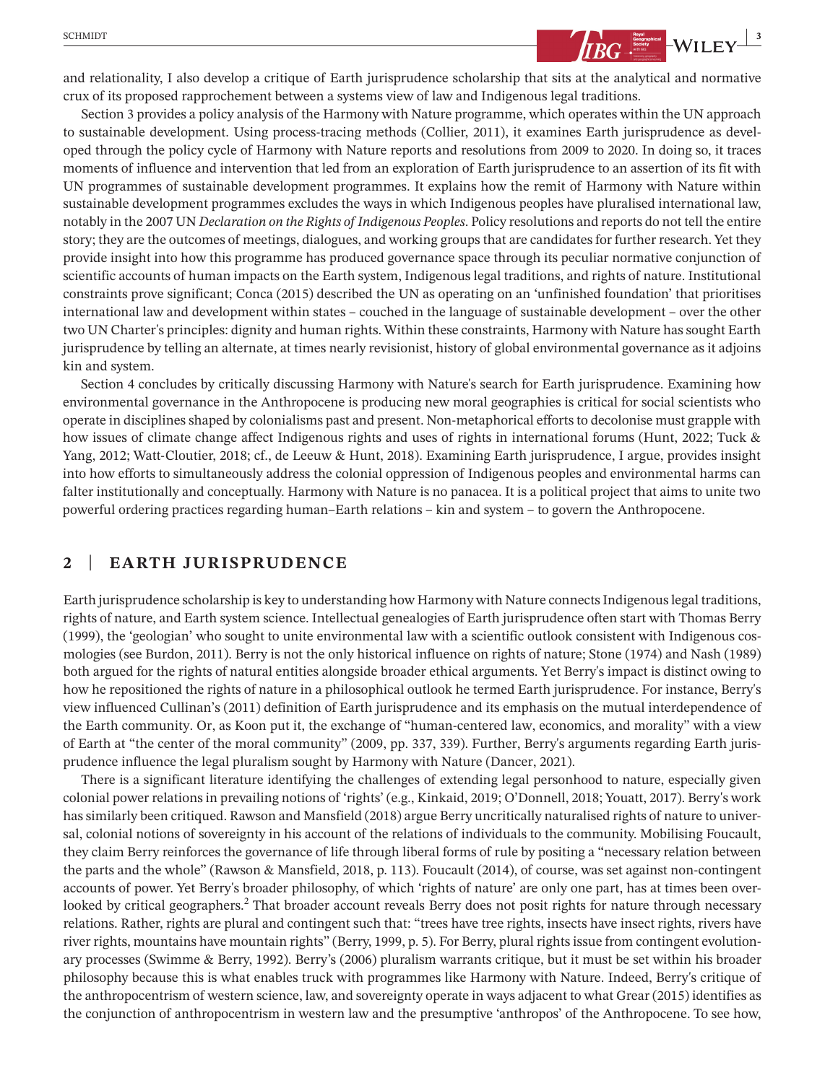

and relationality, I also develop a critique of Earth jurisprudence scholarship that sits at the analytical and normative crux of its proposed rapprochement between a systems view of law and Indigenous legal traditions.

Section 3 provides a policy analysis of the Harmony with Nature programme, which operates within the UN approach to sustainable development. Using process-tracing methods (Collier, 2011), it examines Earth jurisprudence as developed through the policy cycle of Harmony with Nature reports and resolutions from 2009 to 2020. In doing so, it traces moments of influence and intervention that led from an exploration of Earth jurisprudence to an assertion of its fit with UN programmes of sustainable development programmes. It explains how the remit of Harmony with Nature within sustainable development programmes excludes the ways in which Indigenous peoples have pluralised international law, notably in the 2007 UN *Declaration on the Rights of Indigenous Peoples*. Policy resolutions and reports do not tell the entire story; they are the outcomes of meetings, dialogues, and working groups that are candidates for further research. Yet they provide insight into how this programme has produced governance space through its peculiar normative conjunction of scientific accounts of human impacts on the Earth system, Indigenous legal traditions, and rights of nature. Institutional constraints prove significant; Conca (2015) described the UN as operating on an 'unfinished foundation' that prioritises international law and development within states – couched in the language of sustainable development – over the other two UN Charter's principles: dignity and human rights. Within these constraints, Harmony with Nature hassought Earth jurisprudence by telling an alternate, at times nearly revisionist, history of global environmental governance as it adjoins kin and system.

Section 4 concludes by critically discussing Harmony with Nature's search for Earth jurisprudence. Examining how environmental governance in the Anthropocene is producing new moral geographies is critical for social scientists who operate in disciplines shaped by colonialisms past and present. Non-metaphorical efforts to decolonise must grapple with how issues of climate change affect Indigenous rights and uses of rights in international forums (Hunt, 2022; Tuck & Yang, 2012; Watt-Cloutier, 2018; cf., de Leeuw & Hunt, 2018). Examining Earth jurisprudence, I argue, provides insight into how efforts to simultaneously address the colonial oppression of Indigenous peoples and environmental harms can falter institutionally and conceptually. Harmony with Nature is no panacea. It is a political project that aims to unite two powerful ordering practices regarding human–Earth relations – kin and system – to govern the Anthropocene.

## **2** | **EARTH JURISPRUDENCE**

Earth jurisprudence scholarship is key to understanding how Harmony with Nature connects Indigenous legal traditions, rights of nature, and Earth system science. Intellectual genealogies of Earth jurisprudence often start with Thomas Berry (1999), the 'geologian' who sought to unite environmental law with a scientific outlook consistent with Indigenous cosmologies (see Burdon, 2011). Berry is not the only historical influence on rights of nature; Stone (1974) and Nash (1989) both argued for the rights of natural entities alongside broader ethical arguments. Yet Berry's impact is distinct owing to how he repositioned the rights of nature in a philosophical outlook he termed Earth jurisprudence. For instance, Berry's view influenced Cullinan's (2011) definition of Earth jurisprudence and its emphasis on the mutual interdependence of the Earth community. Or, as Koon put it, the exchange of "human-centered law, economics, and morality" with a view of Earth at "the center of the moral community" (2009, pp. 337, 339). Further, Berry's arguments regarding Earth jurisprudence influence the legal pluralism sought by Harmony with Nature (Dancer, 2021).

There is a significant literature identifying the challenges of extending legal personhood to nature, especially given colonial power relations in prevailing notions of 'rights' (e.g., Kinkaid, 2019; O'Donnell, 2018; Youatt, 2017). Berry's work hassimilarly been critiqued. Rawson and Mansfield (2018) argue Berry uncritically naturalised rights of nature to universal, colonial notions of sovereignty in his account of the relations of individuals to the community. Mobilising Foucault, they claim Berry reinforces the governance of life through liberal forms of rule by positing a "necessary relation between the parts and the whole" (Rawson & Mansfield, 2018, p. 113). Foucault (2014), of course, was set against non-contingent accounts of power. Yet Berry's broader philosophy, of which 'rights of nature' are only one part, has at times been overlooked by critical geographers.<sup>2</sup> That broader account reveals Berry does not posit rights for nature through necessary relations. Rather, rights are plural and contingent such that: "trees have tree rights, insects have insect rights, rivers have river rights, mountains have mountain rights" (Berry, 1999, p. 5). For Berry, plural rightsissue from contingent evolutionary processes (Swimme & Berry, 1992). Berry's (2006) pluralism warrants critique, but it must be set within his broader philosophy because this is what enables truck with programmes like Harmony with Nature. Indeed, Berry's critique of the anthropocentrism of western science, law, and sovereignty operate in ways adjacent to what Grear (2015) identifies as the conjunction of anthropocentrism in western law and the presumptive 'anthropos' of the Anthropocene. To see how,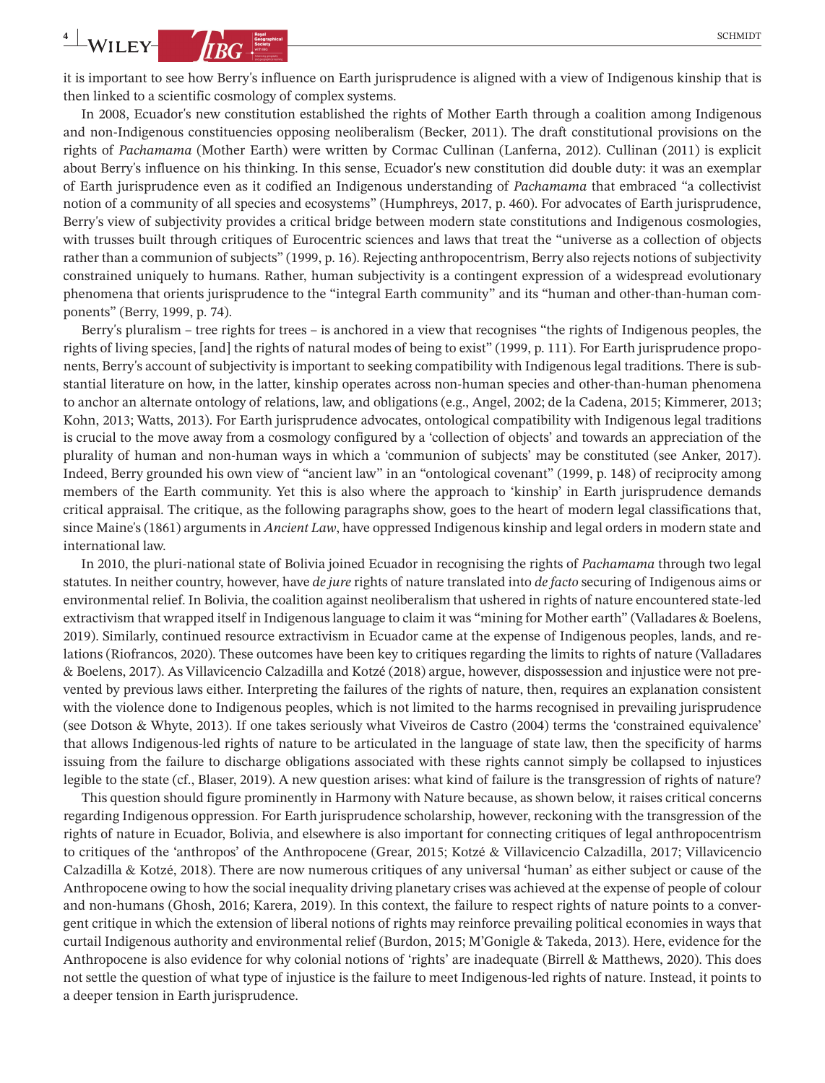**4 WILEY- CONSERVER CONSERVER CONSERVER CONSERVER CONSERVER CONSERVER CONSERVER CONSERVER CONSERVER CONSERVER CONSERVER CONSERVER CONSERVER CONSERVER CONSERVER CONSERVER CONSERVER CONSERVER CONSERVER CONSERVER CONSERVE** 

it is important to see how Berry's influence on Earth jurisprudence is aligned with a view of Indigenous kinship that is then linked to a scientific cosmology of complex systems.

In 2008, Ecuador's new constitution established the rights of Mother Earth through a coalition among Indigenous and non-Indigenous constituencies opposing neoliberalism (Becker, 2011). The draft constitutional provisions on the rights of *Pachamama* (Mother Earth) were written by Cormac Cullinan (Lanferna, 2012). Cullinan (2011) is explicit about Berry's influence on his thinking. In this sense, Ecuador's new constitution did double duty: it was an exemplar of Earth jurisprudence even as it codified an Indigenous understanding of *Pachamama* that embraced "a collectivist notion of a community of all species and ecosystems" (Humphreys, 2017, p. 460). For advocates of Earth jurisprudence, Berry's view of subjectivity provides a critical bridge between modern state constitutions and Indigenous cosmologies, with trusses built through critiques of Eurocentric sciences and laws that treat the "universe as a collection of objects rather than a communion of subjects" (1999, p. 16). Rejecting anthropocentrism, Berry also rejects notions of subjectivity constrained uniquely to humans. Rather, human subjectivity is a contingent expression of a widespread evolutionary phenomena that orients jurisprudence to the "integral Earth community" and its "human and other-than-human components" (Berry, 1999, p. 74).

Berry's pluralism – tree rights for trees – is anchored in a view that recognises "the rights of Indigenous peoples, the rights of living species, [and] the rights of natural modes of being to exist" (1999, p. 111). For Earth jurisprudence proponents, Berry's account of subjectivity is important to seeking compatibility with Indigenous legal traditions. There is substantial literature on how, in the latter, kinship operates across non-human species and other-than-human phenomena to anchor an alternate ontology of relations, law, and obligations (e.g., Angel, 2002; de la Cadena, 2015; Kimmerer, 2013; Kohn, 2013; Watts, 2013). For Earth jurisprudence advocates, ontological compatibility with Indigenous legal traditions is crucial to the move away from a cosmology configured by a 'collection of objects' and towards an appreciation of the plurality of human and non-human ways in which a 'communion of subjects' may be constituted (see Anker, 2017). Indeed, Berry grounded his own view of "ancient law" in an "ontological covenant" (1999, p. 148) of reciprocity among members of the Earth community. Yet this is also where the approach to 'kinship' in Earth jurisprudence demands critical appraisal. The critique, as the following paragraphs show, goes to the heart of modern legal classifications that, since Maine's (1861) arguments in *Ancient Law*, have oppressed Indigenous kinship and legal orders in modern state and international law.

In 2010, the pluri-national state of Bolivia joined Ecuador in recognising the rights of *Pachamama* through two legal statutes. In neither country, however, have *de jure* rights of nature translated into *de facto* securing of Indigenous aims or environmental relief. In Bolivia, the coalition against neoliberalism that ushered in rights of nature encountered state-led extractivism that wrapped itself in Indigenous language to claim it was "mining for Mother earth" (Valladares & Boelens, 2019). Similarly, continued resource extractivism in Ecuador came at the expense of Indigenous peoples, lands, and relations (Riofrancos, 2020). These outcomes have been key to critiques regarding the limits to rights of nature (Valladares & Boelens, 2017). As Villavicencio Calzadilla and Kotzé (2018) argue, however, dispossession and injustice were not prevented by previous laws either. Interpreting the failures of the rights of nature, then, requires an explanation consistent with the violence done to Indigenous peoples, which is not limited to the harms recognised in prevailing jurisprudence (see Dotson & Whyte, 2013). If one takes seriously what Viveiros de Castro (2004) terms the 'constrained equivalence' that allows Indigenous-led rights of nature to be articulated in the language of state law, then the specificity of harms issuing from the failure to discharge obligations associated with these rights cannot simply be collapsed to injustices legible to the state (cf., Blaser, 2019). A new question arises: what kind of failure is the transgression of rights of nature?

This question should figure prominently in Harmony with Nature because, as shown below, it raises critical concerns regarding Indigenous oppression. For Earth jurisprudence scholarship, however, reckoning with the transgression of the rights of nature in Ecuador, Bolivia, and elsewhere is also important for connecting critiques of legal anthropocentrism to critiques of the 'anthropos' of the Anthropocene (Grear, 2015; Kotzé & Villavicencio Calzadilla, 2017; Villavicencio Calzadilla & Kotzé, 2018). There are now numerous critiques of any universal 'human' as either subject or cause of the Anthropocene owing to how the social inequality driving planetary crises was achieved at the expense of people of colour and non-humans (Ghosh, 2016; Karera, 2019). In this context, the failure to respect rights of nature points to a convergent critique in which the extension of liberal notions of rights may reinforce prevailing political economies in ways that curtail Indigenous authority and environmental relief (Burdon, 2015; M'Gonigle & Takeda, 2013). Here, evidence for the Anthropocene is also evidence for why colonial notions of 'rights' are inadequate (Birrell & Matthews, 2020). This does not settle the question of what type of injustice is the failure to meet Indigenous-led rights of nature. Instead, it points to a deeper tension in Earth jurisprudence.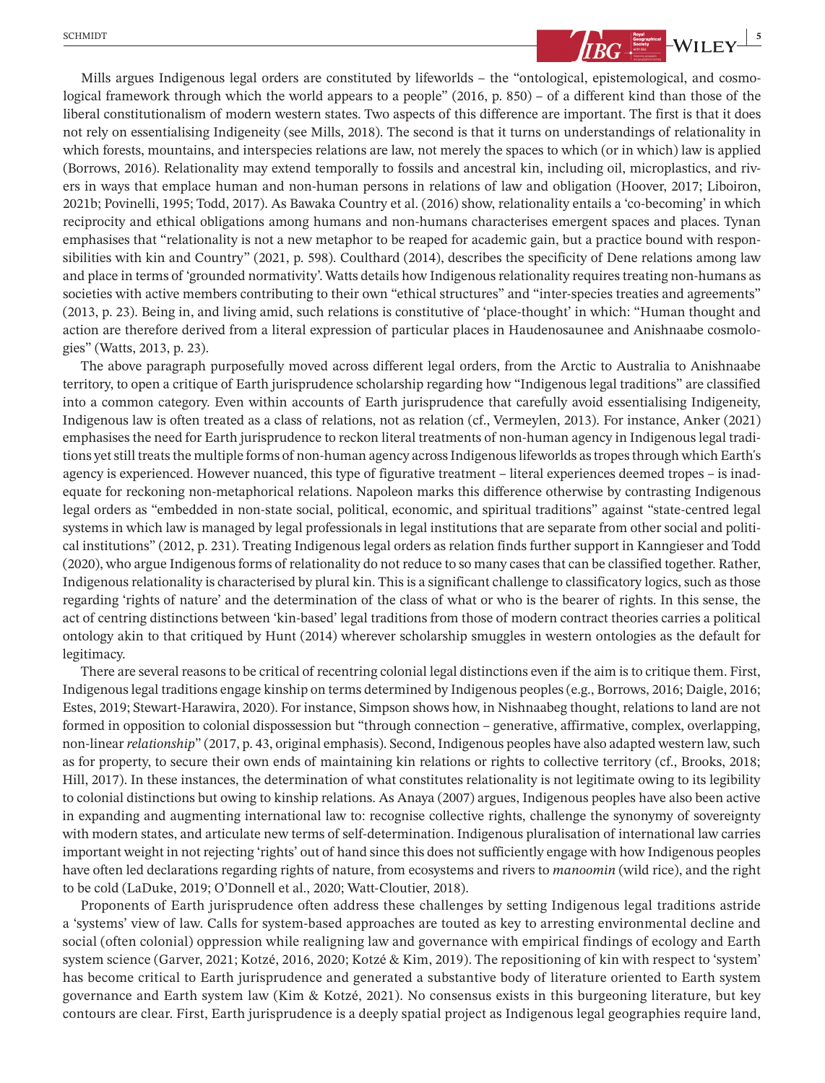

Mills argues Indigenous legal orders are constituted by lifeworlds – the "ontological, epistemological, and cosmological framework through which the world appears to a people" (2016, p. 850) – of a different kind than those of the liberal constitutionalism of modern western states. Two aspects of this difference are important. The first is that it does not rely on essentialising Indigeneity (see Mills, 2018). The second is that it turns on understandings of relationality in which forests, mountains, and interspecies relations are law, not merely the spaces to which (or in which) law is applied (Borrows, 2016). Relationality may extend temporally to fossils and ancestral kin, including oil, microplastics, and rivers in ways that emplace human and non-human persons in relations of law and obligation (Hoover, 2017; Liboiron, 2021b; Povinelli, 1995; Todd, 2017). As Bawaka Country et al. (2016) show, relationality entails a 'co-becoming' in which reciprocity and ethical obligations among humans and non-humans characterises emergent spaces and places. Tynan emphasises that "relationality is not a new metaphor to be reaped for academic gain, but a practice bound with responsibilities with kin and Country" (2021, p. 598). Coulthard (2014), describes the specificity of Dene relations among law and place in terms of 'grounded normativity'. Watts details how Indigenous relationality requires treating non-humans as societies with active members contributing to their own "ethical structures" and "inter-species treaties and agreements" (2013, p. 23). Being in, and living amid, such relations is constitutive of 'place-thought' in which: "Human thought and action are therefore derived from a literal expression of particular places in Haudenosaunee and Anishnaabe cosmologies" (Watts, 2013, p. 23).

The above paragraph purposefully moved across different legal orders, from the Arctic to Australia to Anishnaabe territory, to open a critique of Earth jurisprudence scholarship regarding how "Indigenous legal traditions" are classified into a common category. Even within accounts of Earth jurisprudence that carefully avoid essentialising Indigeneity, Indigenous law is often treated as a class of relations, not as relation (cf., Vermeylen, 2013). For instance, Anker (2021) emphasises the need for Earth jurisprudence to reckon literal treatments of non-human agency in Indigenous legal traditions yet still treats the multiple forms of non-human agency across Indigenous lifeworlds as tropes through which Earth's agency is experienced. However nuanced, this type of figurative treatment – literal experiences deemed tropes – is inadequate for reckoning non-metaphorical relations. Napoleon marks this difference otherwise by contrasting Indigenous legal orders as "embedded in non-state social, political, economic, and spiritual traditions" against "state-centred legal systems in which law is managed by legal professionals in legal institutions that are separate from other social and political institutions" (2012, p. 231). Treating Indigenous legal orders as relation finds further support in Kanngieser and Todd (2020), who argue Indigenousforms of relationality do not reduce to so many casesthat can be classified together. Rather, Indigenous relationality is characterised by plural kin. This is a significant challenge to classificatory logics, such as those regarding 'rights of nature' and the determination of the class of what or who is the bearer of rights. In this sense, the act of centring distinctions between 'kin-based' legal traditions from those of modern contract theories carries a political ontology akin to that critiqued by Hunt (2014) wherever scholarship smuggles in western ontologies as the default for legitimacy.

There are several reasons to be critical of recentring colonial legal distinctions even if the aim is to critique them. First, Indigenouslegal traditions engage kinship on terms determined by Indigenous peoples(e.g., Borrows, 2016; Daigle, 2016; Estes, 2019; Stewart-Harawira, 2020). For instance, Simpson shows how, in Nishnaabeg thought, relations to land are not formed in opposition to colonial dispossession but "through connection – generative, affirmative, complex, overlapping, non-linear *relationship*" (2017, p. 43, original emphasis). Second, Indigenous peoples have also adapted western law, such as for property, to secure their own ends of maintaining kin relations or rights to collective territory (cf., Brooks, 2018; Hill, 2017). In these instances, the determination of what constitutes relationality is not legitimate owing to its legibility to colonial distinctions but owing to kinship relations. As Anaya (2007) argues, Indigenous peoples have also been active in expanding and augmenting international law to: recognise collective rights, challenge the synonymy of sovereignty with modern states, and articulate new terms of self-determination. Indigenous pluralisation of international law carries important weight in not rejecting 'rights' out of hand since this does notsufficiently engage with how Indigenous peoples have often led declarations regarding rights of nature, from ecosystems and rivers to *manoomin* (wild rice), and the right to be cold (LaDuke, 2019; O'Donnell et al., 2020; Watt-Cloutier, 2018).

Proponents of Earth jurisprudence often address these challenges by setting Indigenous legal traditions astride a 'systems' view of law. Calls for system-based approaches are touted as key to arresting environmental decline and social (often colonial) oppression while realigning law and governance with empirical findings of ecology and Earth system science (Garver, 2021; Kotzé, 2016, 2020; Kotzé & Kim, 2019). The repositioning of kin with respect to 'system' has become critical to Earth jurisprudence and generated a substantive body of literature oriented to Earth system governance and Earth system law (Kim & Kotzé, 2021). No consensus exists in this burgeoning literature, but key contours are clear. First, Earth jurisprudence is a deeply spatial project as Indigenous legal geographies require land,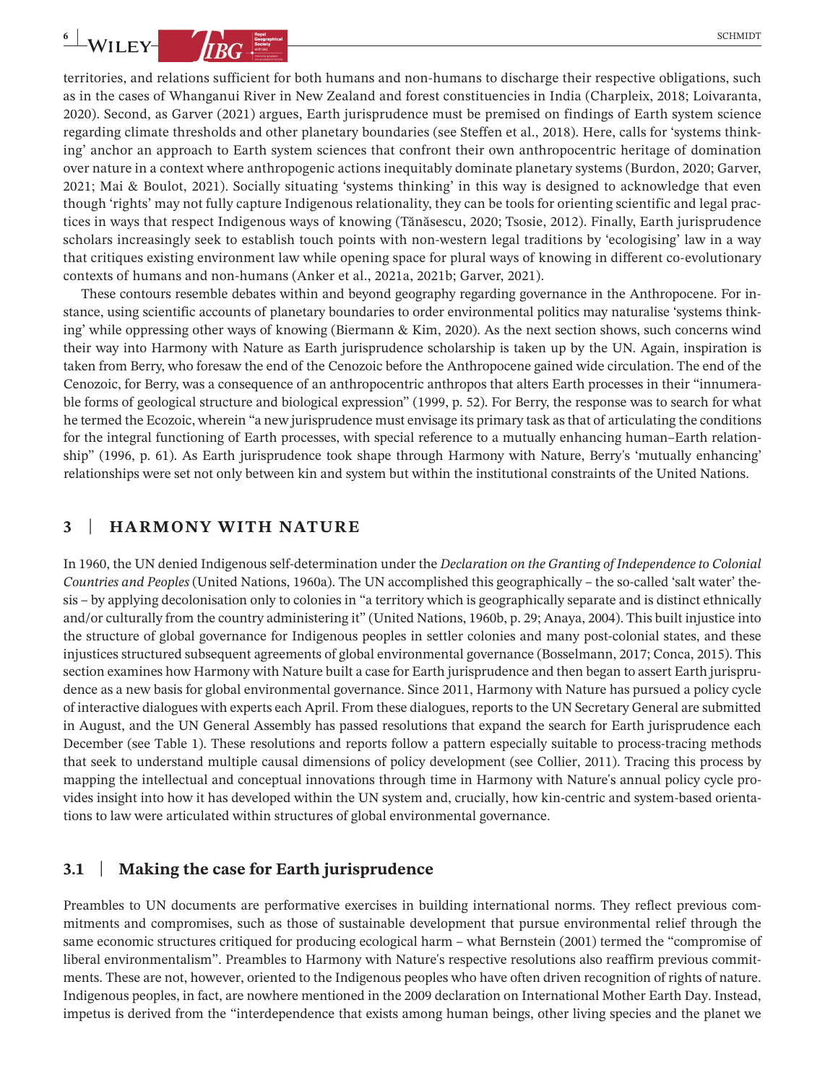territories, and relations sufficient for both humans and non-humans to discharge their respective obligations, such as in the cases of Whanganui River in New Zealand and forest constituencies in India (Charpleix, 2018; Loivaranta, 2020). Second, as Garver (2021) argues, Earth jurisprudence must be premised on findings of Earth system science regarding climate thresholds and other planetary boundaries (see Steffen et al., 2018). Here, calls for 'systems thinking' anchor an approach to Earth system sciences that confront their own anthropocentric heritage of domination over nature in a context where anthropogenic actions inequitably dominate planetary systems (Burdon, 2020; Garver, 2021; Mai & Boulot, 2021). Socially situating 'systems thinking' in this way is designed to acknowledge that even though 'rights' may not fully capture Indigenous relationality, they can be tools for orienting scientific and legal practices in ways that respect Indigenous ways of knowing (Tănăsescu, 2020; Tsosie, 2012). Finally, Earth jurisprudence scholars increasingly seek to establish touch points with non-western legal traditions by 'ecologising' law in a way that critiques existing environment law while opening space for plural ways of knowing in different co-evolutionary contexts of humans and non-humans (Anker et al., 2021a, 2021b; Garver, 2021).

These contours resemble debates within and beyond geography regarding governance in the Anthropocene. For instance, using scientific accounts of planetary boundaries to order environmental politics may naturalise 'systems thinking' while oppressing other ways of knowing (Biermann & Kim, 2020). As the next section shows, such concerns wind their way into Harmony with Nature as Earth jurisprudence scholarship is taken up by the UN. Again, inspiration is taken from Berry, who foresaw the end of the Cenozoic before the Anthropocene gained wide circulation. The end of the Cenozoic, for Berry, was a consequence of an anthropocentric anthropos that alters Earth processes in their "innumerable forms of geological structure and biological expression" (1999, p. 52). For Berry, the response was to search for what he termed the Ecozoic, wherein "a new jurisprudence must envisage its primary task asthat of articulating the conditions for the integral functioning of Earth processes, with special reference to a mutually enhancing human–Earth relationship" (1996, p. 61). As Earth jurisprudence took shape through Harmony with Nature, Berry's 'mutually enhancing' relationships were set not only between kin and system but within the institutional constraints of the United Nations.

## **3** | **HARMONY WITH NATURE**

In 1960, the UN denied Indigenous self-determination under the *Declaration on the Granting of Independence to Colonial Countries and Peoples* (United Nations, 1960a). The UN accomplished this geographically – the so-called 'salt water' thesis – by applying decolonisation only to colonies in "a territory which is geographically separate and is distinct ethnically and/or culturally from the country administering it" (United Nations, 1960b, p. 29; Anaya, 2004). This built injustice into the structure of global governance for Indigenous peoples in settler colonies and many post-colonial states, and these injustices structured subsequent agreements of global environmental governance (Bosselmann, 2017; Conca, 2015). This section examines how Harmony with Nature built a case for Earth jurisprudence and then began to assert Earth jurisprudence as a new basis for global environmental governance. Since 2011, Harmony with Nature has pursued a policy cycle of interactive dialogues with experts each April. From these dialogues, reportsto the UN Secretary General are submitted in August, and the UN General Assembly has passed resolutions that expand the search for Earth jurisprudence each December (see Table 1). These resolutions and reports follow a pattern especially suitable to process-tracing methods that seek to understand multiple causal dimensions of policy development (see Collier, 2011). Tracing this process by mapping the intellectual and conceptual innovations through time in Harmony with Nature's annual policy cycle provides insight into how it has developed within the UN system and, crucially, how kin-centric and system-based orientations to law were articulated within structures of global environmental governance.

## **3.1** | **Making the case for Earth jurisprudence**

Preambles to UN documents are performative exercises in building international norms. They reflect previous commitments and compromises, such as those of sustainable development that pursue environmental relief through the same economic structures critiqued for producing ecological harm – what Bernstein (2001) termed the "compromise of liberal environmentalism". Preambles to Harmony with Nature's respective resolutions also reaffirm previous commitments. These are not, however, oriented to the Indigenous peoples who have often driven recognition of rights of nature. Indigenous peoples, in fact, are nowhere mentioned in the 2009 declaration on International Mother Earth Day. Instead, impetus is derived from the "interdependence that exists among human beings, other living species and the planet we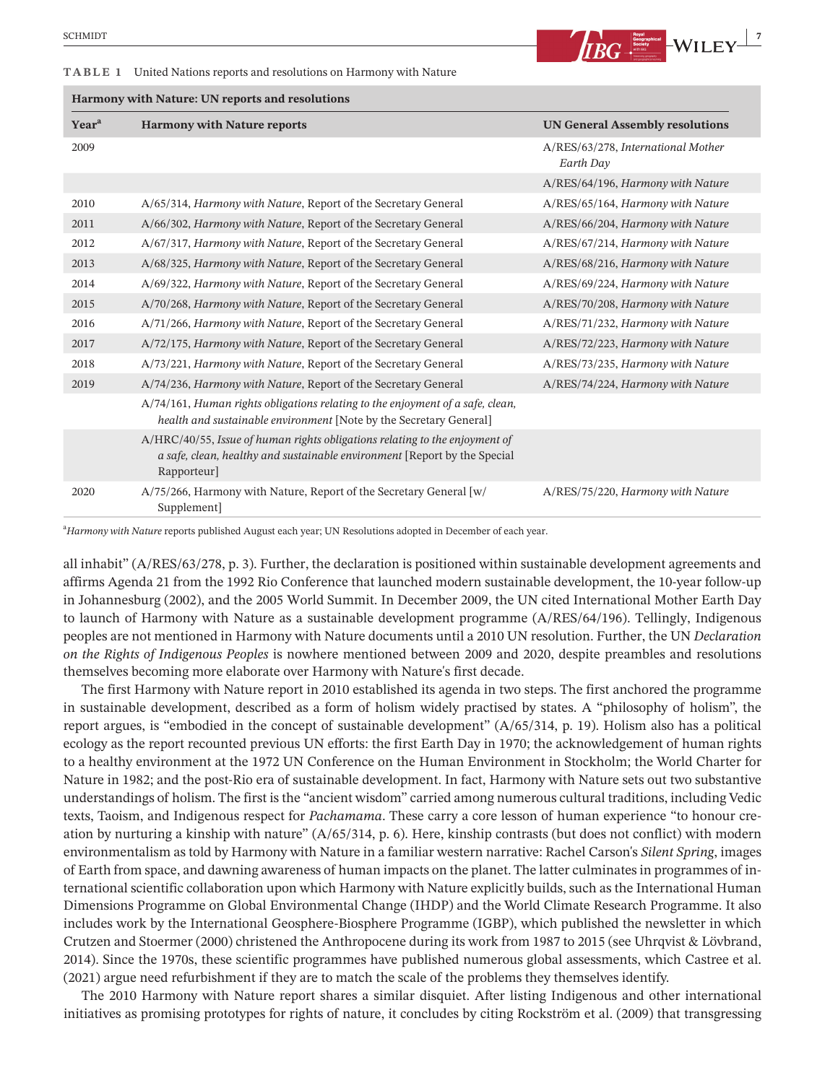#### **TABLE 1** United Nations reports and resolutions on Harmony with Nature

| Harmony with Nature: UN reports and resolutions |                                                                                                                                                                         |                                                 |
|-------------------------------------------------|-------------------------------------------------------------------------------------------------------------------------------------------------------------------------|-------------------------------------------------|
| Year <sup>a</sup>                               | <b>Harmony with Nature reports</b>                                                                                                                                      | <b>UN General Assembly resolutions</b>          |
| 2009                                            |                                                                                                                                                                         | A/RES/63/278, International Mother<br>Earth Day |
|                                                 |                                                                                                                                                                         | A/RES/64/196, Harmony with Nature               |
| 2010                                            | A/65/314, Harmony with Nature, Report of the Secretary General                                                                                                          | A/RES/65/164, Harmony with Nature               |
| 2011                                            | A/66/302, Harmony with Nature, Report of the Secretary General                                                                                                          | A/RES/66/204, Harmony with Nature               |
| 2012                                            | A/67/317, Harmony with Nature, Report of the Secretary General                                                                                                          | A/RES/67/214, Harmony with Nature               |
| 2013                                            | A/68/325, Harmony with Nature, Report of the Secretary General                                                                                                          | A/RES/68/216, Harmony with Nature               |
| 2014                                            | A/69/322, Harmony with Nature, Report of the Secretary General                                                                                                          | A/RES/69/224, Harmony with Nature               |
| 2015                                            | A/70/268, Harmony with Nature, Report of the Secretary General                                                                                                          | A/RES/70/208, Harmony with Nature               |
| 2016                                            | A/71/266, Harmony with Nature, Report of the Secretary General                                                                                                          | A/RES/71/232, Harmony with Nature               |
| 2017                                            | A/72/175, Harmony with Nature, Report of the Secretary General                                                                                                          | A/RES/72/223, Harmony with Nature               |
| 2018                                            | A/73/221, Harmony with Nature, Report of the Secretary General                                                                                                          | A/RES/73/235, Harmony with Nature               |
| 2019                                            | A/74/236, Harmony with Nature, Report of the Secretary General                                                                                                          | A/RES/74/224, Harmony with Nature               |
|                                                 | A/74/161, Human rights obligations relating to the enjoyment of a safe, clean,<br>health and sustainable environment [Note by the Secretary General]                    |                                                 |
|                                                 | A/HRC/40/55, Issue of human rights obligations relating to the enjoyment of<br>a safe, clean, healthy and sustainable environment [Report by the Special<br>Rapporteur] |                                                 |
| 2020                                            | A/75/266, Harmony with Nature, Report of the Secretary General [w/<br>Supplement]                                                                                       | A/RES/75/220, Harmony with Nature               |

a *Harmony with Nature* reports published August each year; UN Resolutions adopted in December of each year.

all inhabit" (A/RES/63/278, p. 3). Further, the declaration is positioned within sustainable development agreements and affirms Agenda 21 from the 1992 Rio Conference that launched modern sustainable development, the 10-year follow-up in Johannesburg (2002), and the 2005 World Summit. In December 2009, the UN cited International Mother Earth Day to launch of Harmony with Nature as a sustainable development programme (A/RES/64/196). Tellingly, Indigenous peoples are not mentioned in Harmony with Nature documents until a 2010 UN resolution. Further, the UN *Declaration on the Rights of Indigenous Peoples* is nowhere mentioned between 2009 and 2020, despite preambles and resolutions themselves becoming more elaborate over Harmony with Nature's first decade.

The first Harmony with Nature report in 2010 established its agenda in two steps. The first anchored the programme in sustainable development, described as a form of holism widely practised by states. A "philosophy of holism", the report argues, is "embodied in the concept of sustainable development" (A/65/314, p. 19). Holism also has a political ecology as the report recounted previous UN efforts: the first Earth Day in 1970; the acknowledgement of human rights to a healthy environment at the 1972 UN Conference on the Human Environment in Stockholm; the World Charter for Nature in 1982; and the post-Rio era of sustainable development. In fact, Harmony with Nature sets out two substantive understandings of holism. The first isthe "ancient wisdom" carried among numerous cultural traditions, including Vedic texts, Taoism, and Indigenous respect for *Pachamama*. These carry a core lesson of human experience "to honour creation by nurturing a kinship with nature" (A/65/314, p. 6). Here, kinship contrasts (but does not conflict) with modern environmentalism as told by Harmony with Nature in a familiar western narrative: Rachel Carson's *Silent Spring*, images of Earth from space, and dawning awareness of human impacts on the planet. The latter culminatesin programmes of international scientific collaboration upon which Harmony with Nature explicitly builds, such as the International Human Dimensions Programme on Global Environmental Change (IHDP) and the World Climate Research Programme. It also includes work by the International Geosphere-Biosphere Programme (IGBP), which published the newsletter in which Crutzen and Stoermer (2000) christened the Anthropocene during its work from 1987 to 2015 (see Uhrqvist & Lövbrand, 2014). Since the 1970s, these scientific programmes have published numerous global assessments, which Castree et al. (2021) argue need refurbishment if they are to match the scale of the problems they themselves identify.

The 2010 Harmony with Nature report shares a similar disquiet. After listing Indigenous and other international initiatives as promising prototypes for rights of nature, it concludes by citing Rockström et al. (2009) that transgressing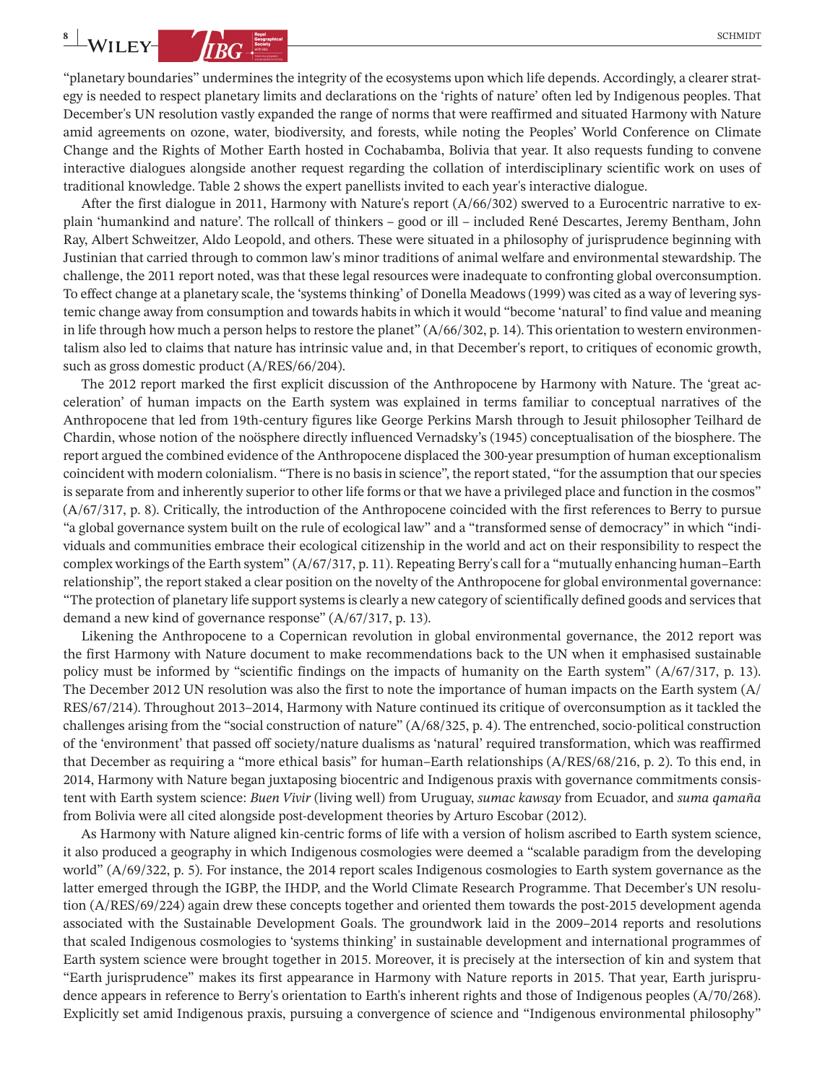

"planetary boundaries" undermines the integrity of the ecosystems upon which life depends. Accordingly, a clearer strategy is needed to respect planetary limits and declarations on the 'rights of nature' often led by Indigenous peoples. That December's UN resolution vastly expanded the range of norms that were reaffirmed and situated Harmony with Nature amid agreements on ozone, water, biodiversity, and forests, while noting the Peoples' World Conference on Climate Change and the Rights of Mother Earth hosted in Cochabamba, Bolivia that year. It also requests funding to convene interactive dialogues alongside another request regarding the collation of interdisciplinary scientific work on uses of traditional knowledge. Table 2 shows the expert panellists invited to each year's interactive dialogue.

After the first dialogue in 2011, Harmony with Nature's report (A/66/302) swerved to a Eurocentric narrative to explain 'humankind and nature'. The rollcall of thinkers – good or ill – included René Descartes, Jeremy Bentham, John Ray, Albert Schweitzer, Aldo Leopold, and others. These were situated in a philosophy of jurisprudence beginning with Justinian that carried through to common law's minor traditions of animal welfare and environmental stewardship. The challenge, the 2011 report noted, was that these legal resources were inadequate to confronting global overconsumption. To effect change at a planetary scale, the 'systems thinking' of Donella Meadows (1999) was cited as a way of levering systemic change away from consumption and towards habits in which it would "become 'natural' to find value and meaning in life through how much a person helps to restore the planet"  $(A/66/302, p. 14)$ . This orientation to western environmentalism also led to claims that nature has intrinsic value and, in that December's report, to critiques of economic growth, such as gross domestic product (A/RES/66/204).

The 2012 report marked the first explicit discussion of the Anthropocene by Harmony with Nature. The 'great acceleration' of human impacts on the Earth system was explained in terms familiar to conceptual narratives of the Anthropocene that led from 19th-century figures like George Perkins Marsh through to Jesuit philosopher Teilhard de Chardin, whose notion of the noösphere directly influenced Vernadsky's (1945) conceptualisation of the biosphere. The report argued the combined evidence of the Anthropocene displaced the 300-year presumption of human exceptionalism coincident with modern colonialism. "There is no basisin science", the reportstated, "for the assumption that ourspecies is separate from and inherently superior to other life forms or that we have a privileged place and function in the cosmos" (A/67/317, p. 8). Critically, the introduction of the Anthropocene coincided with the first references to Berry to pursue "a global governance system built on the rule of ecological law" and a "transformed sense of democracy" in which "individuals and communities embrace their ecological citizenship in the world and act on their responsibility to respect the complex workings of the Earth system" (A/67/317, p. 11). Repeating Berry's call for a "mutually enhancing human–Earth relationship", the report staked a clear position on the novelty of the Anthropocene for global environmental governance: "The protection of planetary life support systems is clearly a new category of scientifically defined goods and services that demand a new kind of governance response" (A/67/317, p. 13).

Likening the Anthropocene to a Copernican revolution in global environmental governance, the 2012 report was the first Harmony with Nature document to make recommendations back to the UN when it emphasised sustainable policy must be informed by "scientific findings on the impacts of humanity on the Earth system" (A/67/317, p. 13). The December 2012 UN resolution was also the first to note the importance of human impacts on the Earth system (A/ RES/67/214). Throughout 2013–2014, Harmony with Nature continued its critique of overconsumption as it tackled the challenges arising from the "social construction of nature" (A/68/325, p. 4). The entrenched, socio-political construction of the 'environment' that passed off society/nature dualisms as 'natural' required transformation, which was reaffirmed that December as requiring a "more ethical basis" for human–Earth relationships (A/RES/68/216, p. 2). To this end, in 2014, Harmony with Nature began juxtaposing biocentric and Indigenous praxis with governance commitments consistent with Earth system science: *Buen Vivir* (living well) from Uruguay, *sumac kawsay* from Ecuador, and *suma qamaña* from Bolivia were all cited alongside post-development theories by Arturo Escobar (2012).

As Harmony with Nature aligned kin-centric forms of life with a version of holism ascribed to Earth system science, it also produced a geography in which Indigenous cosmologies were deemed a "scalable paradigm from the developing world" (A/69/322, p. 5). For instance, the 2014 report scales Indigenous cosmologies to Earth system governance as the latter emerged through the IGBP, the IHDP, and the World Climate Research Programme. That December's UN resolution (A/RES/69/224) again drew these concepts together and oriented them towards the post-2015 development agenda associated with the Sustainable Development Goals. The groundwork laid in the 2009–2014 reports and resolutions that scaled Indigenous cosmologies to 'systems thinking' in sustainable development and international programmes of Earth system science were brought together in 2015. Moreover, it is precisely at the intersection of kin and system that "Earth jurisprudence" makes its first appearance in Harmony with Nature reports in 2015. That year, Earth jurisprudence appears in reference to Berry's orientation to Earth's inherent rights and those of Indigenous peoples (A/70/268). Explicitly set amid Indigenous praxis, pursuing a convergence of science and "Indigenous environmental philosophy"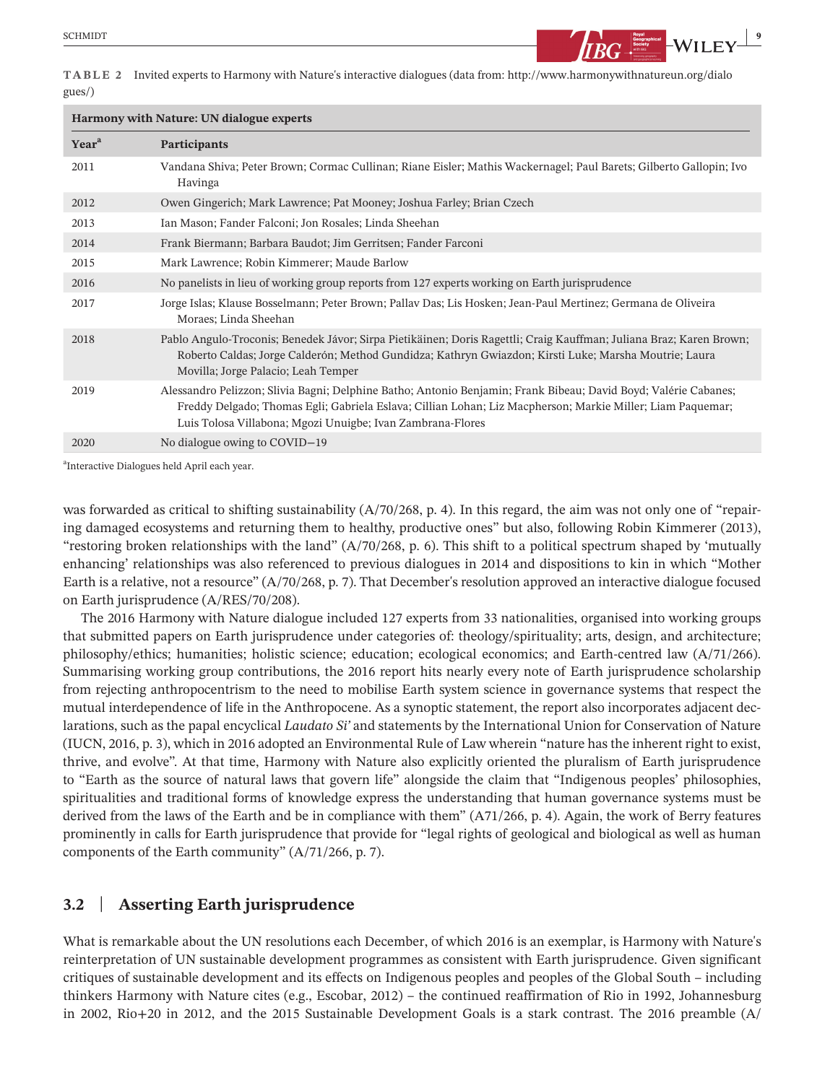

**TABLE 2** Invited experts to Harmony with Nature's interactive dialogues (data from: [http://www.harmonywithnatureun.org/dialo](http://www.harmonywithnatureun.org/dialogues/) [gues/](http://www.harmonywithnatureun.org/dialogues/))

| <b>Harmony with Nature: UN dialogue experts</b> |                                                                                                                                                                                                                                                                                             |  |
|-------------------------------------------------|---------------------------------------------------------------------------------------------------------------------------------------------------------------------------------------------------------------------------------------------------------------------------------------------|--|
| Year <sup>a</sup>                               | Participants                                                                                                                                                                                                                                                                                |  |
| 2011                                            | Vandana Shiva; Peter Brown; Cormac Cullinan; Riane Eisler; Mathis Wackernagel; Paul Barets; Gilberto Gallopin; Ivo<br>Havinga                                                                                                                                                               |  |
| 2012                                            | Owen Gingerich; Mark Lawrence; Pat Mooney; Joshua Farley; Brian Czech                                                                                                                                                                                                                       |  |
| 2013                                            | Ian Mason; Fander Falconi; Jon Rosales; Linda Sheehan                                                                                                                                                                                                                                       |  |
| 2014                                            | Frank Biermann; Barbara Baudot; Jim Gerritsen; Fander Farconi                                                                                                                                                                                                                               |  |
| 2015                                            | Mark Lawrence; Robin Kimmerer; Maude Barlow                                                                                                                                                                                                                                                 |  |
| 2016                                            | No panelists in lieu of working group reports from 127 experts working on Earth jurisprudence                                                                                                                                                                                               |  |
| 2017                                            | Jorge Islas; Klause Bosselmann; Peter Brown; Pallav Das; Lis Hosken; Jean-Paul Mertinez; Germana de Oliveira<br>Moraes; Linda Sheehan                                                                                                                                                       |  |
| 2018                                            | Pablo Angulo-Troconis; Benedek Jávor; Sirpa Pietikäinen; Doris Ragettli; Craig Kauffman; Juliana Braz; Karen Brown;<br>Roberto Caldas; Jorge Calderón; Method Gundidza; Kathryn Gwiazdon; Kirsti Luke; Marsha Moutrie; Laura<br>Movilla; Jorge Palacio; Leah Temper                         |  |
| 2019                                            | Alessandro Pelizzon; Slivia Bagni; Delphine Batho; Antonio Benjamin; Frank Bibeau; David Boyd; Valérie Cabanes;<br>Freddy Delgado; Thomas Egli; Gabriela Eslava; Cillian Lohan; Liz Macpherson; Markie Miller; Liam Paquemar;<br>Luis Tolosa Villabona; Mgozi Unuigbe; Ivan Zambrana-Flores |  |
| 2020                                            | No dialogue owing to COVID-19                                                                                                                                                                                                                                                               |  |

a Interactive Dialogues held April each year.

was forwarded as critical to shifting sustainability (A/70/268, p. 4). In this regard, the aim was not only one of "repairing damaged ecosystems and returning them to healthy, productive ones" but also, following Robin Kimmerer (2013), "restoring broken relationships with the land" (A/70/268, p. 6). This shift to a political spectrum shaped by 'mutually enhancing' relationships was also referenced to previous dialogues in 2014 and dispositions to kin in which "Mother Earth is a relative, not a resource" (A/70/268, p. 7). That December's resolution approved an interactive dialogue focused on Earth jurisprudence (A/RES/70/208).

The 2016 Harmony with Nature dialogue included 127 experts from 33 nationalities, organised into working groups that submitted papers on Earth jurisprudence under categories of: theology/spirituality; arts, design, and architecture; philosophy/ethics; humanities; holistic science; education; ecological economics; and Earth-centred law (A/71/266). Summarising working group contributions, the 2016 report hits nearly every note of Earth jurisprudence scholarship from rejecting anthropocentrism to the need to mobilise Earth system science in governance systems that respect the mutual interdependence of life in the Anthropocene. As a synoptic statement, the report also incorporates adjacent declarations, such as the papal encyclical *Laudato Si'* and statements by the International Union for Conservation of Nature (IUCN, 2016, p. 3), which in 2016 adopted an Environmental Rule of Law wherein "nature has the inherent right to exist, thrive, and evolve". At that time, Harmony with Nature also explicitly oriented the pluralism of Earth jurisprudence to "Earth as the source of natural laws that govern life" alongside the claim that "Indigenous peoples' philosophies, spiritualities and traditional forms of knowledge express the understanding that human governance systems must be derived from the laws of the Earth and be in compliance with them" (A71/266, p. 4). Again, the work of Berry features prominently in calls for Earth jurisprudence that provide for "legal rights of geological and biological as well as human components of the Earth community" (A/71/266, p. 7).

# **3.2** | **Asserting Earth jurisprudence**

What is remarkable about the UN resolutions each December, of which 2016 is an exemplar, is Harmony with Nature's reinterpretation of UN sustainable development programmes as consistent with Earth jurisprudence. Given significant critiques of sustainable development and its effects on Indigenous peoples and peoples of the Global South – including thinkers Harmony with Nature cites (e.g., Escobar, 2012) – the continued reaffirmation of Rio in 1992, Johannesburg in 2002, Rio+20 in 2012, and the 2015 Sustainable Development Goals is a stark contrast. The 2016 preamble (A/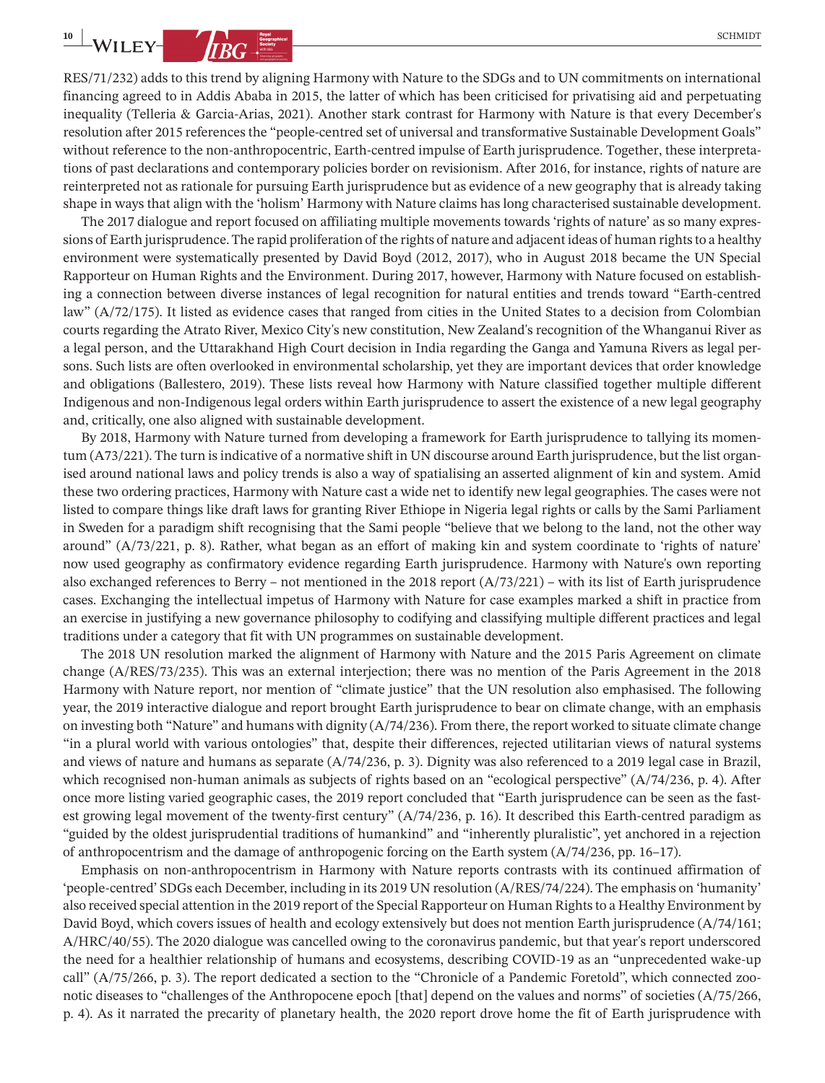RES/71/232) adds to this trend by aligning Harmony with Nature to the SDGs and to UN commitments on international financing agreed to in Addis Ababa in 2015, the latter of which has been criticised for privatising aid and perpetuating inequality (Telleria & Garcia-Arias, 2021). Another stark contrast for Harmony with Nature is that every December's resolution after 2015 references the "people-centred set of universal and transformative Sustainable Development Goals" without reference to the non-anthropocentric, Earth-centred impulse of Earth jurisprudence. Together, these interpretations of past declarations and contemporary policies border on revisionism. After 2016, for instance, rights of nature are reinterpreted not as rationale for pursuing Earth jurisprudence but as evidence of a new geography that is already taking shape in ways that align with the 'holism' Harmony with Nature claims has long characterised sustainable development.

The 2017 dialogue and report focused on affiliating multiple movements towards 'rights of nature' as so many expressions of Earth jurisprudence. The rapid proliferation of the rights of nature and adjacent ideas of human rights to a healthy environment were systematically presented by David Boyd (2012, 2017), who in August 2018 became the UN Special Rapporteur on Human Rights and the Environment. During 2017, however, Harmony with Nature focused on establishing a connection between diverse instances of legal recognition for natural entities and trends toward "Earth-centred law" (A/72/175). It listed as evidence cases that ranged from cities in the United States to a decision from Colombian courts regarding the Atrato River, Mexico City's new constitution, New Zealand's recognition of the Whanganui River as a legal person, and the Uttarakhand High Court decision in India regarding the Ganga and Yamuna Rivers as legal persons. Such lists are often overlooked in environmental scholarship, yet they are important devices that order knowledge and obligations (Ballestero, 2019). These lists reveal how Harmony with Nature classified together multiple different Indigenous and non-Indigenous legal orders within Earth jurisprudence to assert the existence of a new legal geography and, critically, one also aligned with sustainable development.

By 2018, Harmony with Nature turned from developing a framework for Earth jurisprudence to tallying its momentum (A73/221). The turn isindicative of a normative shift in UN discourse around Earth jurisprudence, but the list organised around national laws and policy trends is also a way of spatialising an asserted alignment of kin and system. Amid these two ordering practices, Harmony with Nature cast a wide net to identify new legal geographies. The cases were not listed to compare things like draft laws for granting River Ethiope in Nigeria legal rights or calls by the Sami Parliament in Sweden for a paradigm shift recognising that the Sami people "believe that we belong to the land, not the other way around" (A/73/221, p. 8). Rather, what began as an effort of making kin and system coordinate to 'rights of nature' now used geography as confirmatory evidence regarding Earth jurisprudence. Harmony with Nature's own reporting also exchanged references to Berry – not mentioned in the 2018 report (A/73/221) – with its list of Earth jurisprudence cases. Exchanging the intellectual impetus of Harmony with Nature for case examples marked a shift in practice from an exercise in justifying a new governance philosophy to codifying and classifying multiple different practices and legal traditions under a category that fit with UN programmes on sustainable development.

The 2018 UN resolution marked the alignment of Harmony with Nature and the 2015 Paris Agreement on climate change (A/RES/73/235). This was an external interjection; there was no mention of the Paris Agreement in the 2018 Harmony with Nature report, nor mention of "climate justice" that the UN resolution also emphasised. The following year, the 2019 interactive dialogue and report brought Earth jurisprudence to bear on climate change, with an emphasis on investing both "Nature" and humans with dignity (A/74/236). From there, the report worked to situate climate change "in a plural world with various ontologies" that, despite their differences, rejected utilitarian views of natural systems and views of nature and humans as separate (A/74/236, p. 3). Dignity was also referenced to a 2019 legal case in Brazil, which recognised non-human animals as subjects of rights based on an "ecological perspective" (A/74/236, p. 4). After once more listing varied geographic cases, the 2019 report concluded that "Earth jurisprudence can be seen as the fastest growing legal movement of the twenty-first century" (A/74/236, p. 16). It described this Earth-centred paradigm as "guided by the oldest jurisprudential traditions of humankind" and "inherently pluralistic", yet anchored in a rejection of anthropocentrism and the damage of anthropogenic forcing on the Earth system (A/74/236, pp. 16–17).

Emphasis on non-anthropocentrism in Harmony with Nature reports contrasts with its continued affirmation of 'people-centred' SDGs each December, including in its 2019 UN resolution (A/RES/74/224). The emphasis on 'humanity' also received special attention in the 2019 report of the Special Rapporteur on Human Rights to a Healthy Environment by David Boyd, which covers issues of health and ecology extensively but does not mention Earth jurisprudence (A/74/161; A/HRC/40/55). The 2020 dialogue was cancelled owing to the coronavirus pandemic, but that year's report underscored the need for a healthier relationship of humans and ecosystems, describing COVID-19 as an "unprecedented wake-up call" (A/75/266, p. 3). The report dedicated a section to the "Chronicle of a Pandemic Foretold", which connected zoonotic diseases to "challenges of the Anthropocene epoch [that] depend on the values and norms" of societies (A/75/266, p. 4). As it narrated the precarity of planetary health, the 2020 report drove home the fit of Earth jurisprudence with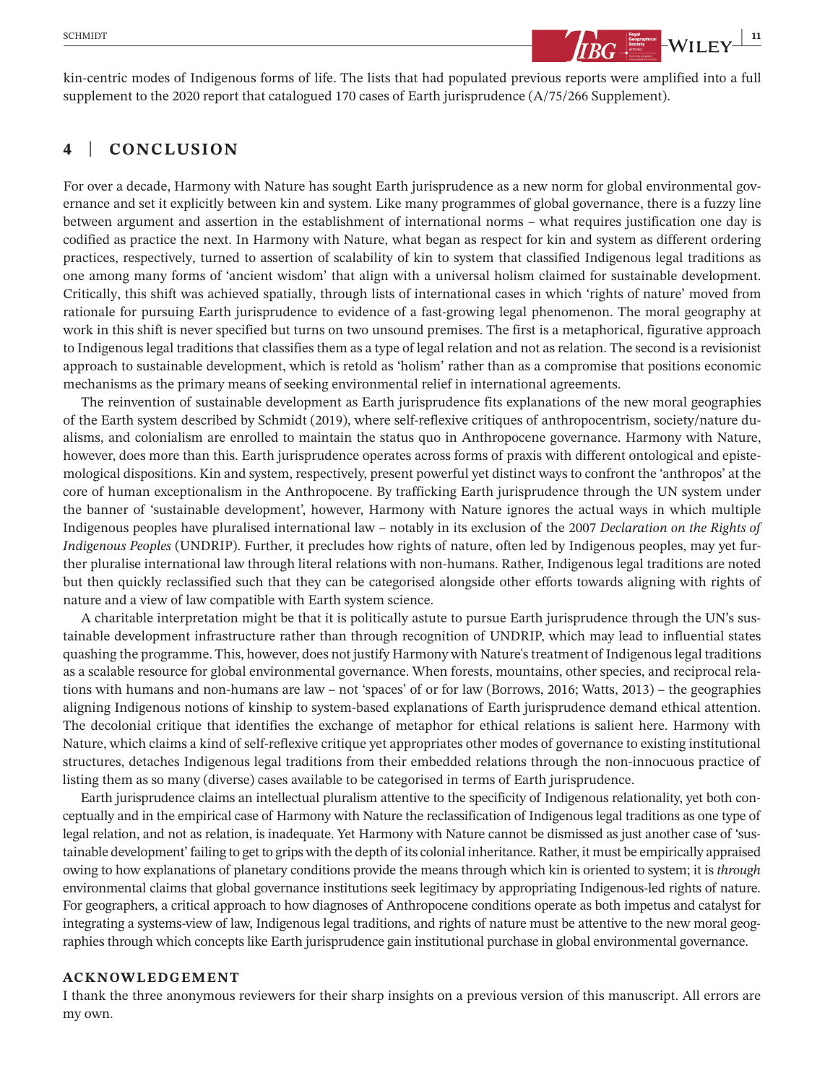

kin-centric modes of Indigenous forms of life. The lists that had populated previous reports were amplified into a full supplement to the 2020 report that catalogued 170 cases of Earth jurisprudence (A/75/266 Supplement).

# **4** | **CONCLUSION**

For over a decade, Harmony with Nature has sought Earth jurisprudence as a new norm for global environmental governance and set it explicitly between kin and system. Like many programmes of global governance, there is a fuzzy line between argument and assertion in the establishment of international norms – what requires justification one day is codified as practice the next. In Harmony with Nature, what began as respect for kin and system as different ordering practices, respectively, turned to assertion of scalability of kin to system that classified Indigenous legal traditions as one among many forms of 'ancient wisdom' that align with a universal holism claimed for sustainable development. Critically, this shift was achieved spatially, through lists of international cases in which 'rights of nature' moved from rationale for pursuing Earth jurisprudence to evidence of a fast-growing legal phenomenon. The moral geography at work in this shift is never specified but turns on two unsound premises. The first is a metaphorical, figurative approach to Indigenous legal traditions that classifies them as a type of legal relation and not as relation. The second is a revisionist approach to sustainable development, which is retold as 'holism' rather than as a compromise that positions economic mechanisms as the primary means of seeking environmental relief in international agreements.

The reinvention of sustainable development as Earth jurisprudence fits explanations of the new moral geographies of the Earth system described by Schmidt (2019), where self-reflexive critiques of anthropocentrism, society/nature dualisms, and colonialism are enrolled to maintain the status quo in Anthropocene governance. Harmony with Nature, however, does more than this. Earth jurisprudence operates across forms of praxis with different ontological and epistemological dispositions. Kin and system, respectively, present powerful yet distinct ways to confront the 'anthropos' at the core of human exceptionalism in the Anthropocene. By trafficking Earth jurisprudence through the UN system under the banner of 'sustainable development', however, Harmony with Nature ignores the actual ways in which multiple Indigenous peoples have pluralised international law – notably in its exclusion of the 2007 *Declaration on the Rights of Indigenous Peoples* (UNDRIP). Further, it precludes how rights of nature, often led by Indigenous peoples, may yet further pluralise international law through literal relations with non-humans. Rather, Indigenous legal traditions are noted but then quickly reclassified such that they can be categorised alongside other efforts towards aligning with rights of nature and a view of law compatible with Earth system science.

A charitable interpretation might be that it is politically astute to pursue Earth jurisprudence through the UN's sustainable development infrastructure rather than through recognition of UNDRIP, which may lead to influential states quashing the programme. This, however, does not justify Harmony with Nature'streatment of Indigenouslegal traditions as a scalable resource for global environmental governance. When forests, mountains, other species, and reciprocal relations with humans and non-humans are law – not 'spaces' of or for law (Borrows, 2016; Watts, 2013) – the geographies aligning Indigenous notions of kinship to system-based explanations of Earth jurisprudence demand ethical attention. The decolonial critique that identifies the exchange of metaphor for ethical relations is salient here. Harmony with Nature, which claims a kind of self-reflexive critique yet appropriates other modes of governance to existing institutional structures, detaches Indigenous legal traditions from their embedded relations through the non-innocuous practice of listing them as so many (diverse) cases available to be categorised in terms of Earth jurisprudence.

Earth jurisprudence claims an intellectual pluralism attentive to the specificity of Indigenous relationality, yet both conceptually and in the empirical case of Harmony with Nature the reclassification of Indigenous legal traditions as one type of legal relation, and not as relation, is inadequate. Yet Harmony with Nature cannot be dismissed as just another case of 'sustainable development' failing to get to grips with the depth of its colonial inheritance. Rather, it must be empirically appraised owing to how explanations of planetary conditions provide the means through which kin is oriented to system; it is *through* environmental claims that global governance institutions seek legitimacy by appropriating Indigenous-led rights of nature. For geographers, a critical approach to how diagnoses of Anthropocene conditions operate as both impetus and catalyst for integrating a systems-view of law, Indigenous legal traditions, and rights of nature must be attentive to the new moral geographies through which concepts like Earth jurisprudence gain institutional purchase in global environmental governance.

#### **ACKNOWLEDGEMENT**

I thank the three anonymous reviewers for their sharp insights on a previous version of this manuscript. All errors are my own.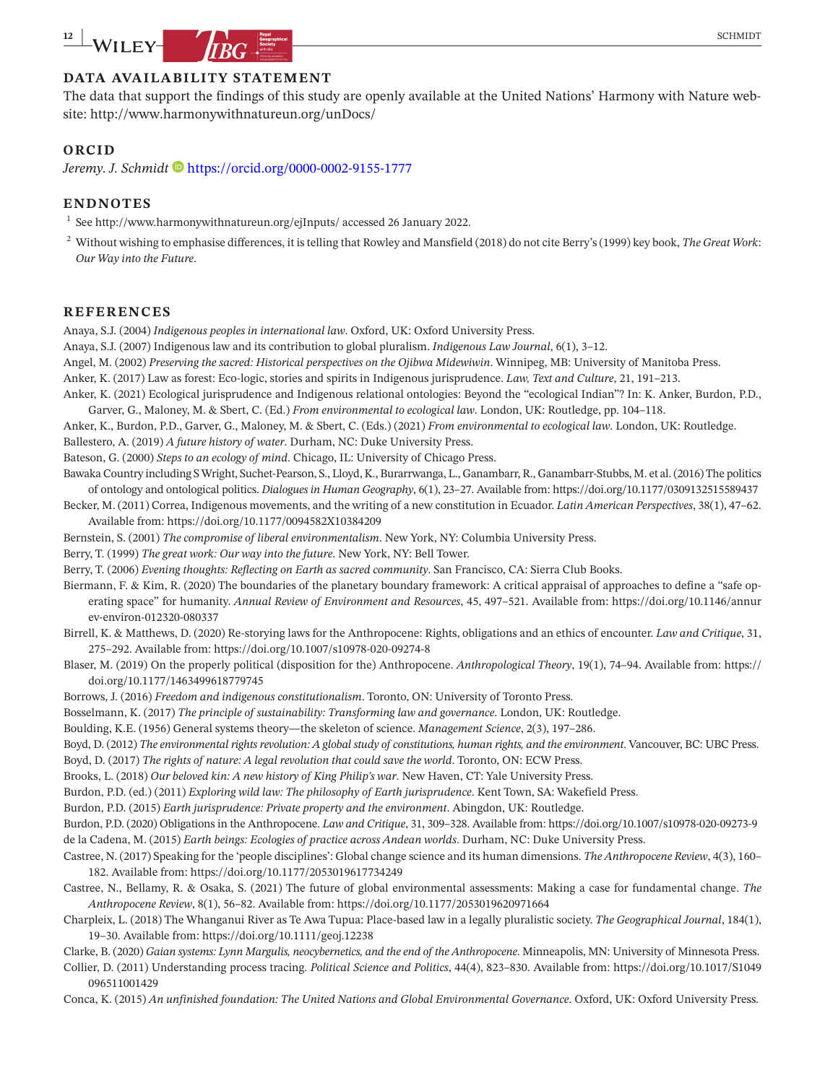# **DATA AVAILABILITY STATEMENT**

The data that support the findings of this study are openly available at the United Nations' Harmony with Nature website: <http://www.harmonywithnatureun.org/unDocs/>

## **ORCID**

*Jeremy. J. Schmidt* **b** <https://orcid.org/0000-0002-9155-1777>

#### **ENDNOTES**

 $^1$  See <http://www.harmonywithnatureun.org/ejInputs/> accessed 26 January 2022.

 $^2$  Without wishing to emphasise differences, it is telling that Rowley and Mansfield (2018) do not cite Berry's (1999) key book, *The Great Work*: *Our Way into the Future*.

#### **REFERENCES**

Anaya, S.J. (2004) *Indigenous peoples in international law*. Oxford, UK: Oxford University Press.

Anaya, S.J. (2007) Indigenous law and its contribution to global pluralism. *Indigenous Law Journal*, 6(1), 3–12.

Angel, M. (2002) *Preserving the sacred: Historical perspectives on the Ojibwa Midewiwin*. Winnipeg, MB: University of Manitoba Press.

Anker, K. (2017) Law as forest: Eco-logic, stories and spirits in Indigenous jurisprudence. *Law, Text and Culture*, 21, 191–213.

Anker, K. (2021) Ecological jurisprudence and Indigenous relational ontologies: Beyond the "ecological Indian"? In: K. Anker, Burdon, P.D., Garver, G., Maloney, M. & Sbert, C. (Ed.) *From environmental to ecological law*. London, UK: Routledge, pp. 104–118.

Anker, K., Burdon, P.D., Garver, G., Maloney, M. & Sbert, C. (Eds.) (2021) *From environmental to ecological law*. London, UK: Routledge. Ballestero, A. (2019) *A future history of water*. Durham, NC: Duke University Press.

Bateson, G. (2000) *Steps to an ecology of mind*. Chicago, IL: University of Chicago Press.

- Bawaka Country including S Wright, Suchet-Pearson, S., Lloyd, K., Burarrwanga, L., Ganambarr, R., Ganambarr-Stubbs, M. et al. (2016) The politics of ontology and ontological politics. *Dialogues in Human Geography*, 6(1), 23–27. Available from: <https://doi.org/10.1177/0309132515589437>
- Becker, M. (2011) Correa, Indigenous movements, and the writing of a new constitution in Ecuador. *Latin American Perspectives*, 38(1), 47–62. Available from: <https://doi.org/10.1177/0094582X10384209>
- Bernstein, S. (2001) *The compromise of liberal environmentalism*. New York, NY: Columbia University Press.

Berry, T. (1999) *The great work: Our way into the future*. New York, NY: Bell Tower.

Berry, T. (2006) *Evening thoughts: Reflecting on Earth as sacred community*. San Francisco, CA: Sierra Club Books.

- Biermann, F. & Kim, R. (2020) The boundaries of the planetary boundary framework: A critical appraisal of approaches to define a "safe operating space" for humanity. *Annual Review of Environment and Resources*, 45, 497–521. Available from: [https://doi.org/10.1146/annur](https://doi.org/10.1146/annurev-environ-012320-080337) [ev-environ-012320-080337](https://doi.org/10.1146/annurev-environ-012320-080337)
- Birrell, K. & Matthews, D. (2020) Re-storying laws for the Anthropocene: Rights, obligations and an ethics of encounter. *Law and Critique*, 31, 275–292. Available from: <https://doi.org/10.1007/s10978-020-09274-8>

Blaser, M. (2019) On the properly political (disposition for the) Anthropocene. *Anthropological Theory*, 19(1), 74–94. Available from: [https://](https://doi.org/10.1177/1463499618779745) [doi.org/10.1177/1463499618779745](https://doi.org/10.1177/1463499618779745)

Borrows, J. (2016) *Freedom and indigenous constitutionalism*. Toronto, ON: University of Toronto Press.

Bosselmann, K. (2017) *The principle of sustainability: Transforming law and governance*. London, UK: Routledge.

Boulding, K.E. (1956) General systems theory—the skeleton of science. *Management Science*, 2(3), 197–286.

Boyd, D. (2012) *The environmental rights revolution: A global study of constitutions, human rights, and the environment*. Vancouver, BC: UBC Press. Boyd, D. (2017) *The rights of nature: A legal revolution that could save the world*. Toronto, ON: ECW Press.

Brooks, L. (2018) *Our beloved kin: A new history of King Philip's war*. New Haven, CT: Yale University Press.

Burdon, P.D. (ed.) (2011) *Exploring wild law: The philosophy of Earth jurisprudence*. Kent Town, SA: Wakefield Press.

Burdon, P.D. (2015) *Earth jurisprudence: Private property and the environment*. Abingdon, UK: Routledge.

Burdon, P.D. (2020) Obligations in the Anthropocene. *Law and Critique*, 31, 309–328. Available from: <https://doi.org/10.1007/s10978-020-09273-9> de la Cadena, M. (2015) *Earth beings: Ecologies of practice across Andean worlds*. Durham, NC: Duke University Press.

Castree, N. (2017) Speaking for the 'people disciplines': Global change science and its human dimensions. *The Anthropocene Review*, 4(3), 160– 182. Available from: <https://doi.org/10.1177/2053019617734249>

Castree, N., Bellamy, R. & Osaka, S. (2021) The future of global environmental assessments: Making a case for fundamental change. *The Anthropocene Review*, 8(1), 56–82. Available from: <https://doi.org/10.1177/2053019620971664>

Charpleix, L. (2018) The Whanganui River as Te Awa Tupua: Place-based law in a legally pluralistic society. *The Geographical Journal*, 184(1), 19–30. Available from: <https://doi.org/10.1111/geoj.12238>

Clarke, B. (2020) *Gaian systems: Lynn Margulis, neocybernetics, and the end of the Anthropocene*. Minneapolis, MN: University of Minnesota Press.

Collier, D. (2011) Understanding process tracing. *Political Science and Politics*, 44(4), 823–830. Available from: [https://doi.org/10.1017/S1049](https://doi.org/10.1017/S1049096511001429) [096511001429](https://doi.org/10.1017/S1049096511001429)

Conca, K. (2015) *An unfinished foundation: The United Nations and Global Environmental Governance*. Oxford, UK: Oxford University Press.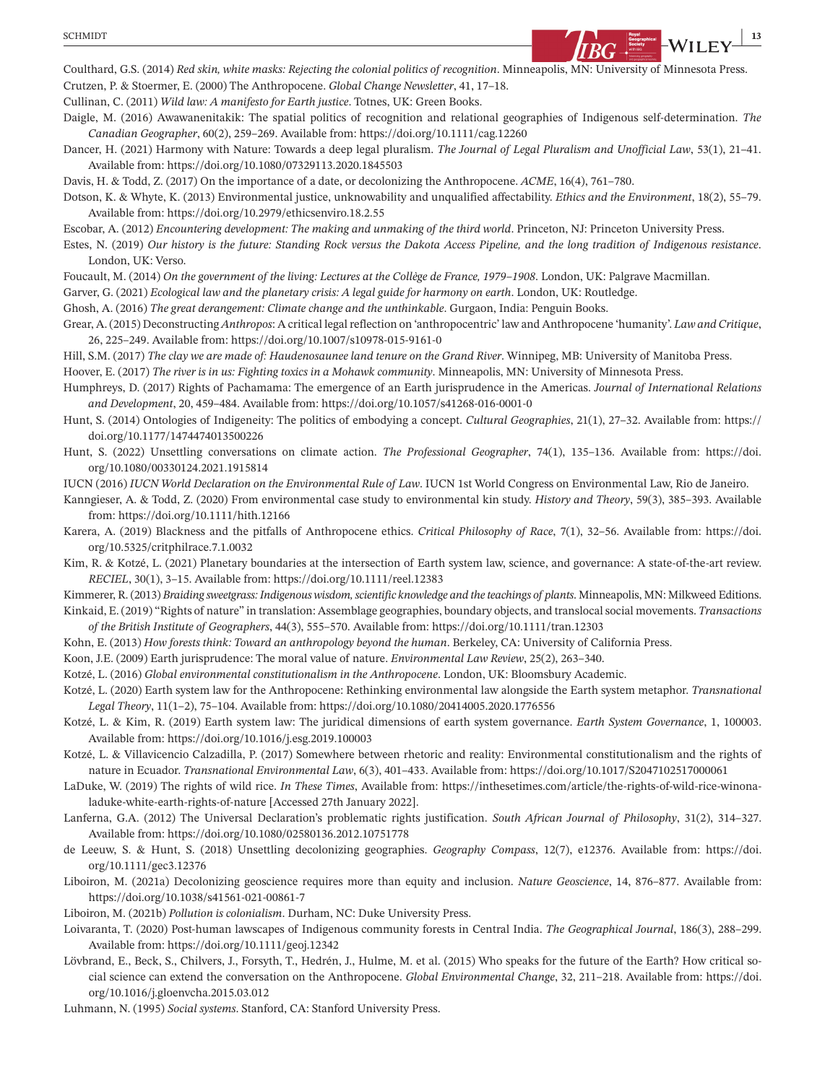

Coulthard, G.S. (2014) *Red skin, white masks: Rejecting the colonial politics of recognition*. Minneapolis, MN: University of Minnesota Press. Crutzen, P. & Stoermer, E. (2000) The Anthropocene. *Global Change Newsletter*, 41, 17–18.

Cullinan, C. (2011) *Wild law: A manifesto for Earth justice*. Totnes, UK: Green Books.

Daigle, M. (2016) Awawanenitakik: The spatial politics of recognition and relational geographies of Indigenous self-determination. *The Canadian Geographer*, 60(2), 259–269. Available from: <https://doi.org/10.1111/cag.12260>

Dancer, H. (2021) Harmony with Nature: Towards a deep legal pluralism. *The Journal of Legal Pluralism and Unofficial Law*, 53(1), 21–41. Available from: <https://doi.org/10.1080/07329113.2020.1845503>

Davis, H. & Todd, Z. (2017) On the importance of a date, or decolonizing the Anthropocene. *ACME*, 16(4), 761–780.

Dotson, K. & Whyte, K. (2013) Environmental justice, unknowability and unqualified affectability. *Ethics and the Environment*, 18(2), 55–79. Available from: <https://doi.org/10.2979/ethicsenviro.18.2.55>

Escobar, A. (2012) *Encountering development: The making and unmaking of the third world*. Princeton, NJ: Princeton University Press.

Estes, N. (2019) *Our history is the future: Standing Rock versus the Dakota Access Pipeline, and the long tradition of Indigenous resistance*. London, UK: Verso.

Foucault, M. (2014) *On the government of the living: Lectures at the Collège de France, 1979–1908*. London, UK: Palgrave Macmillan.

Garver, G. (2021) *Ecological law and the planetary crisis: A legal guide for harmony on earth*. London, UK: Routledge.

Ghosh, A. (2016) *The great derangement: Climate change and the unthinkable*. Gurgaon, India: Penguin Books.

Grear, A. (2015) Deconstructing *Anthropos*: A critical legalreflection on 'anthropocentric' law and Anthropocene 'humanity'. *Law and Critique*, 26, 225–249. Available from: <https://doi.org/10.1007/s10978-015-9161-0>

Hill, S.M. (2017) *The clay we are made of: Haudenosaunee land tenure on the Grand River*. Winnipeg, MB: University of Manitoba Press.

Hoover, E. (2017) *The river is in us: Fighting toxics in a Mohawk community*. Minneapolis, MN: University of Minnesota Press.

Humphreys, D. (2017) Rights of Pachamama: The emergence of an Earth jurisprudence in the Americas. *Journal of International Relations and Development*, 20, 459–484. Available from: <https://doi.org/10.1057/s41268-016-0001-0>

- Hunt, S. (2014) Ontologies of Indigeneity: The politics of embodying a concept. *Cultural Geographies*, 21(1), 27–32. Available from: [https://](https://doi.org/10.1177/1474474013500226) [doi.org/10.1177/1474474013500226](https://doi.org/10.1177/1474474013500226)
- Hunt, S. (2022) Unsettling conversations on climate action. *The Professional Geographer*, 74(1), 135–136. Available from: [https://doi.](https://doi.org/10.1080/00330124.2021.1915814) [org/10.1080/00330124.2021.1915814](https://doi.org/10.1080/00330124.2021.1915814)

IUCN (2016) *IUCN World Declaration on the Environmental Rule of Law*. IUCN 1st World Congress on Environmental Law, Rio de Janeiro.

Kanngieser, A. & Todd, Z. (2020) From environmental case study to environmental kin study. *History and Theory*, 59(3), 385–393. Available from: <https://doi.org/10.1111/hith.12166>

Karera, A. (2019) Blackness and the pitfalls of Anthropocene ethics. *Critical Philosophy of Race*, 7(1), 32–56. Available from: [https://doi.](https://doi.org/10.5325/critphilrace.7.1.0032) [org/10.5325/critphilrace.7.1.0032](https://doi.org/10.5325/critphilrace.7.1.0032)

Kim, R. & Kotzé, L. (2021) Planetary boundaries at the intersection of Earth system law, science, and governance: A state-of-the-art review. *RECIEL*, 30(1), 3–15. Available from: <https://doi.org/10.1111/reel.12383>

Kimmerer, R. (2013) *Braiding sweetgrass: Indigenous wisdom, scientific knowledge and the teachings of plants*. Minneapolis, MN: Milkweed Editions.

Kinkaid, E. (2019) "Rights of nature" in translation: Assemblage geographies, boundary objects, and translocalsocial movements. *Transactions of the British Institute of Geographers*, 44(3), 555–570. Available from: <https://doi.org/10.1111/tran.12303>

Kohn, E. (2013) *How forests think: Toward an anthropology beyond the human*. Berkeley, CA: University of California Press.

Koon, J.E. (2009) Earth jurisprudence: The moral value of nature. *Environmental Law Review*, 25(2), 263–340.

Kotzé, L. (2016) *Global environmental constitutionalism in the Anthropocene*. London, UK: Bloomsbury Academic.

Kotzé, L. (2020) Earth system law for the Anthropocene: Rethinking environmental law alongside the Earth system metaphor. *Transnational Legal Theory*, 11(1–2), 75–104. Available from: <https://doi.org/10.1080/20414005.2020.1776556>

Kotzé, L. & Kim, R. (2019) Earth system law: The juridical dimensions of earth system governance. *Earth System Governance*, 1, 100003. Available from: <https://doi.org/10.1016/j.esg.2019.100003>

- Kotzé, L. & Villavicencio Calzadilla, P. (2017) Somewhere between rhetoric and reality: Environmental constitutionalism and the rights of nature in Ecuador. *Transnational Environmental Law*, 6(3), 401–433. Available from: <https://doi.org/10.1017/S2047102517000061>
- LaDuke, W. (2019) The rights of wild rice. *In These Times*, Available from: [https://inthesetimes.com/article/the-rights-of-wild-rice-winona](https://inthesetimes.com/article/the-rights-of-wild-rice-winona-laduke-white-earth-rights-of-nature)[laduke-white-earth-rights-of-nature](https://inthesetimes.com/article/the-rights-of-wild-rice-winona-laduke-white-earth-rights-of-nature) [Accessed 27th January 2022].

Lanferna, G.A. (2012) The Universal Declaration's problematic rights justification. *South African Journal of Philosophy*, 31(2), 314–327. Available from: <https://doi.org/10.1080/02580136.2012.10751778>

de Leeuw, S. & Hunt, S. (2018) Unsettling decolonizing geographies. *Geography Compass*, 12(7), e12376. Available from: [https://doi.](https://doi.org/10.1111/gec3.12376) [org/10.1111/gec3.12376](https://doi.org/10.1111/gec3.12376)

Liboiron, M. (2021a) Decolonizing geoscience requires more than equity and inclusion. *Nature Geoscience*, 14, 876–877. Available from: <https://doi.org/10.1038/s41561-021-00861-7>

Liboiron, M. (2021b) *Pollution is colonialism*. Durham, NC: Duke University Press.

Loivaranta, T. (2020) Post-human lawscapes of Indigenous community forests in Central India. *The Geographical Journal*, 186(3), 288–299. Available from: <https://doi.org/10.1111/geoj.12342>

Lövbrand, E., Beck, S., Chilvers, J., Forsyth, T., Hedrén, J., Hulme, M. et al. (2015) Who speaks for the future of the Earth? How critical social science can extend the conversation on the Anthropocene. *Global Environmental Change*, 32, 211–218. Available from: [https://doi.](https://doi.org/10.1016/j.gloenvcha.2015.03.012) [org/10.1016/j.gloenvcha.2015.03.012](https://doi.org/10.1016/j.gloenvcha.2015.03.012)

Luhmann, N. (1995) *Social systems*. Stanford, CA: Stanford University Press.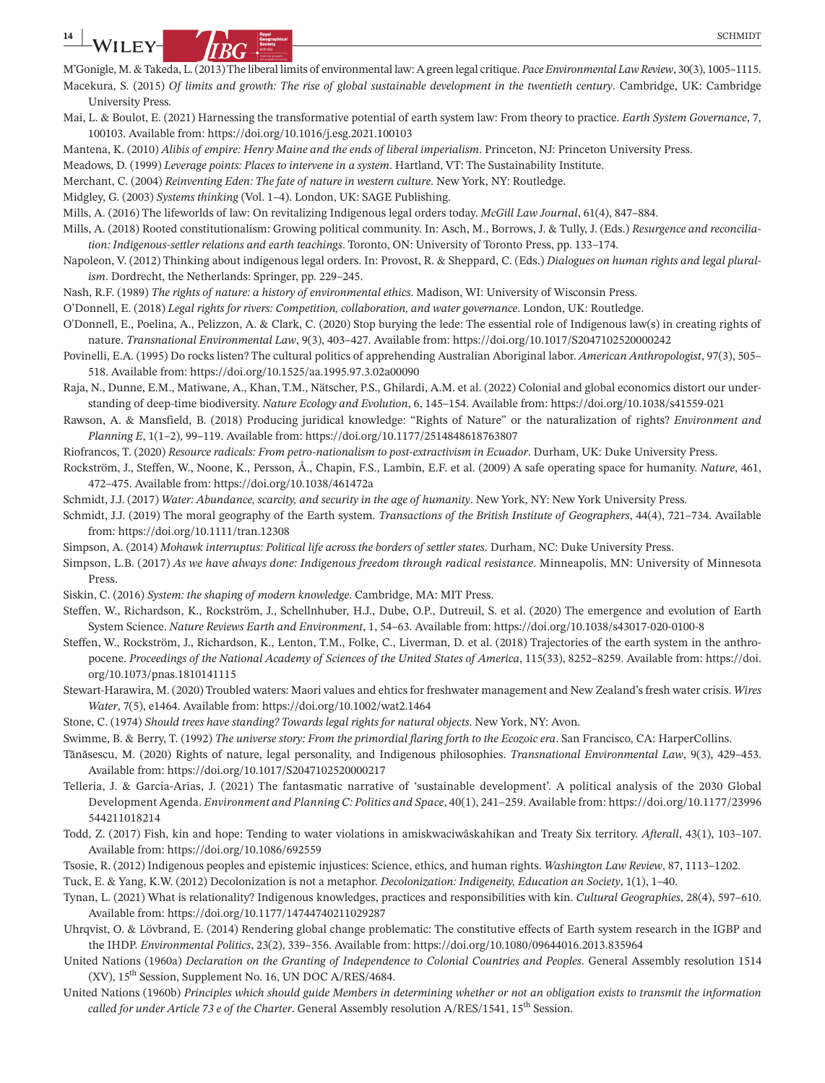- M'Gonigle, M. &Takeda, L.(2013)The liberal limits of environmental law: A green legal critique. *Pace Environmental Law Review*, 30(3), 1005–1115. Macekura, S. (2015) *Of limits and growth: The rise of global sustainable development in the twentieth century*. Cambridge, UK: Cambridge University Press.
- Mai, L. & Boulot, E. (2021) Harnessing the transformative potential of earth system law: From theory to practice. *Earth System Governance*, 7, 100103. Available from: <https://doi.org/10.1016/j.esg.2021.100103>
- Mantena, K. (2010) *Alibis of empire: Henry Maine and the ends of liberal imperialism*. Princeton, NJ: Princeton University Press.

Meadows, D. (1999) *Leverage points: Places to intervene in a system*. Hartland, VT: The Sustainability Institute.

Merchant, C. (2004) *Reinventing Eden: The fate of nature in western culture*. New York, NY: Routledge.

Midgley, G. (2003) *Systems thinking* (Vol. 1–4). London, UK: SAGE Publishing.

Mills, A. (2016) The lifeworlds of law: On revitalizing Indigenous legal orders today. *McGill Law Journal*, 61(4), 847–884.

- Mills, A. (2018) Rooted constitutionalism: Growing political community. In: Asch, M., Borrows, J. & Tully, J. (Eds.) *Resurgence and reconciliation: Indigenous-settler relations and earth teachings*. Toronto, ON: University of Toronto Press, pp. 133–174.
- Napoleon, V. (2012) Thinking about indigenous legal orders. In: Provost, R. & Sheppard, C. (Eds.) *Dialogues on human rights and legal pluralism*. Dordrecht, the Netherlands: Springer, pp. 229–245.
- Nash, R.F. (1989) *The rights of nature: a history of environmental ethics*. Madison, WI: University of Wisconsin Press.

O'Donnell, E. (2018) *Legal rights for rivers: Competition, collaboration, and water governance*. London, UK: Routledge.

- O'Donnell, E., Poelina, A., Pelizzon, A. & Clark, C. (2020) Stop burying the lede: The essential role of Indigenous law(s) in creating rights of nature. *Transnational Environmental Law*, 9(3), 403–427. Available from: <https://doi.org/10.1017/S2047102520000242>
- Povinelli, E.A. (1995) Do rocks listen? The cultural politics of apprehending Australian Aboriginal labor. *American Anthropologist*, 97(3), 505– 518. Available from: <https://doi.org/10.1525/aa.1995.97.3.02a00090>

Raja, N., Dunne, E.M., Matiwane, A., Khan, T.M., Nätscher, P.S., Ghilardi, A.M. et al. (2022) Colonial and global economics distort our understanding of deep-time biodiversity. *Nature Ecology and Evolution*, 6, 145–154. Available from: <https://doi.org/10.1038/s41559-021>

- Rawson, A. & Mansfield, B. (2018) Producing juridical knowledge: "Rights of Nature" or the naturalization of rights? *Environment and Planning E*, 1(1–2), 99–119. Available from: <https://doi.org/10.1177/2514848618763807>
- Riofrancos, T. (2020) *Resource radicals: From petro-nationalism to post-extractivism in Ecuador*. Durham, UK: Duke University Press.
- Rockström, J., Steffen, W., Noone, K., Persson, Å., Chapin, F.S., Lambin, E.F. et al. (2009) A safe operating space for humanity. *Nature*, 461, 472–475. Available from: <https://doi.org/10.1038/461472a>
- Schmidt, J.J. (2017) *Water: Abundance, scarcity, and security in the age of humanity*. New York, NY: New York University Press.
- Schmidt, J.J. (2019) The moral geography of the Earth system. *Transactions of the British Institute of Geographers*, 44(4), 721–734. Available from: <https://doi.org/10.1111/tran.12308>
- Simpson, A. (2014) *Mohawk interruptus: Political life across the borders of settler states*. Durham, NC: Duke University Press.
- Simpson, L.B. (2017) *As we have always done: Indigenous freedom through radical resistance*. Minneapolis, MN: University of Minnesota Press.
- Siskin, C. (2016) *System: the shaping of modern knowledge*. Cambridge, MA: MIT Press.
- Steffen, W., Richardson, K., Rockström, J., Schellnhuber, H.J., Dube, O.P., Dutreuil, S. et al. (2020) The emergence and evolution of Earth System Science. *Nature Reviews Earth and Environment*, 1, 54–63. Available from: <https://doi.org/10.1038/s43017-020-0100-8>
- Steffen, W., Rockström, J., Richardson, K., Lenton, T.M., Folke, C., Liverman, D. et al. (2018) Trajectories of the earth system in the anthropocene. *Proceedings of the National Academy of Sciences of the United States of America*, 115(33), 8252–8259. Available from: [https://doi.](https://doi.org/10.1073/pnas.1810141115) [org/10.1073/pnas.1810141115](https://doi.org/10.1073/pnas.1810141115)
- Stewart-Harawira, M. (2020) Troubled waters: Maori values and ehtics for freshwater management and New Zealand's fresh water crisis. *Wires Water*, 7(5), e1464. Available from: <https://doi.org/10.1002/wat2.1464>

Stone, C. (1974) *Should trees have standing? Towards legal rights for natural objects*. New York, NY: Avon.

Swimme, B. & Berry, T. (1992) *The universe story: From the primordial flaring forth to the Ecozoic era*. San Francisco, CA: HarperCollins.

- Tănăsescu, M. (2020) Rights of nature, legal personality, and Indigenous philosophies. *Transnational Environmental Law*, 9(3), 429–453. Available from: <https://doi.org/10.1017/S2047102520000217>
- Telleria, J. & Garcia-Arias, J. (2021) The fantasmatic narrative of 'sustainable development'. A political analysis of the 2030 Global Development Agenda. *Environment and Planning C: Politics and Space*, 40(1), 241–259. Available from: [https://doi.org/10.1177/23996](https://doi.org/10.1177/23996544211018214) [544211018214](https://doi.org/10.1177/23996544211018214)
- Todd, Z. (2017) Fish, kin and hope: Tending to water violations in amiskwaciwâskahikan and Treaty Six territory. *Afterall*, 43(1), 103–107. Available from: <https://doi.org/10.1086/692559>
- Tsosie, R. (2012) Indigenous peoples and epistemic injustices: Science, ethics, and human rights. *Washington Law Review*, 87, 1113–1202.

Tuck, E. & Yang, K.W. (2012) Decolonization is not a metaphor. *Decolonization: Indigeneity, Education an Society*, 1(1), 1–40.

- Tynan, L. (2021) What is relationality? Indigenous knowledges, practices and responsibilities with kin. *Cultural Geographies*, 28(4), 597–610. Available from: <https://doi.org/10.1177/14744740211029287>
- Uhrqvist, O. & Lövbrand, E. (2014) Rendering global change problematic: The constitutive effects of Earth system research in the IGBP and the IHDP. *Environmental Politics*, 23(2), 339–356. Available from: <https://doi.org/10.1080/09644016.2013.835964>
- United Nations (1960a) *Declaration on the Granting of Independence to Colonial Countries and Peoples*. General Assembly resolution 1514  $(XV)$ , 15<sup>th</sup> Session, Supplement No. 16, UN DOC A/RES/4684.
- United Nations (1960b) *Principles which should guide Members in determining whether or not an obligation exists to transmit the information called for under Article 73 e of the Charter*. General Assembly resolution A/RES/1541, 15<sup>th</sup> Session.